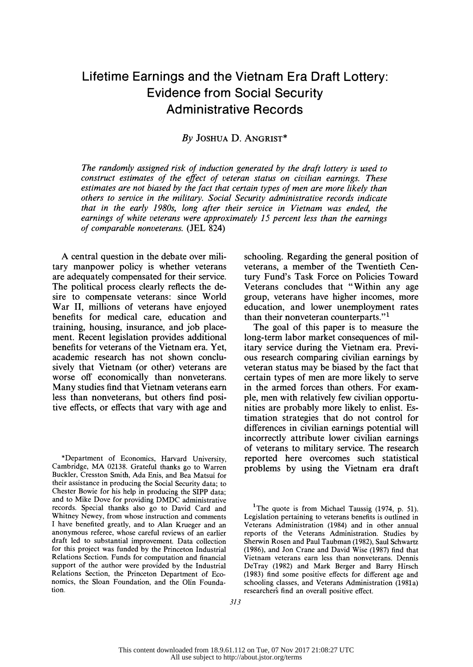# Lifetime Earnings and the Vietnam Era Draft Lottery: Evidence from Social Security Administrative Records

# By JOSHUA D. ANGRIST\*

 The randomly assigned risk of induction generated by the draft lottery is used to construct estimates of the effect of veteran status on civilian earnings. These estimates are not biased by the fact that certain types of men are more likely than others to service in the military. Social Security administrative records indicate that in the early 1980s, long after their service in Vietnam was ended, the earnings of white veterans were approximately 15 percent less than the earnings of comparable nonveterans. (JEL 824)

 A central question in the debate over mili tary manpower policy is whether veterans are adequately compensated for their service. The political process clearly reflects the de sire to compensate veterans: since World War II, millions of veterans have enjoyed benefits for medical care, education and training, housing, insurance, and job place ment. Recent legislation provides additional benefits for veterans of the Vietnam era. Yet, academic research has not shown conclu sively that Vietnam (or other) veterans are worse off economically than nonveterans. Many studies find that Vietnam veterans earn less than nonveterans, but others find posi tive effects, or effects that vary with age and

 \*Department of Economics, Harvard University, Cambridge, MA 02138. Grateful thanks go to Warren Buckler, Cresston Smith, Ada Enis, and Bea Matsui for their assistance in producing the Social Security data; to Chester Bowie for his help in producing the SIPP data; and to Mike Dove for providing DMDC administrative records. Special thanks also go to David Card and Whitney Newey, from whose instruction and comments I have benefited greatly, and to Alan Krueger and an anonymous referee, whose careful reviews of an earlier draft led to substantial improvement. Data collection for this project was funded by the Princeton Industrial Relations Section. Funds for computation and financial support of the author were provided by the Industrial Relations Section, the Princeton Department of Eco nomics, the Sloan Foundation, and the Olin Founda tion.

 schooling. Regarding the general position of veterans, a member of the Twentieth Cen tury Fund's Task Force on Policies Toward Veterans concludes that "Within any age group, veterans have higher incomes, more education, and lower unemployment rates than their nonveteran counterparts."'

 The goal of this paper is to measure the long-term labor market consequences of mil itary service during the Vietnam era. Previ ous research comparing civilian earnings by veteran status may be biased by the fact that certain types of men are more likely to serve in the armed forces than others. For exam ple, men with relatively few civilian opportu nities are probably more likely to enlist. Es timation strategies that do not control for differences in civilian earnings potential will incorrectly attribute lower civilian earnings of veterans to military service. The research reported here overcomes such statistical problems by using the Vietnam era draft

<sup>&</sup>lt;sup>1</sup>The quote is from Michael Taussig  $(1974, p. 51)$ . Legislation pertaining to veterans benefits is outlined in Veterans Administration (1984) and in other annual reports of the Veterans Administration. Studies by Sherwin Rosen and Paul Taubman (1982), Saul Schwartz (1986), and Jon Crane and David Wise (1987) find that Vietnam veterans earn less than nonveterans. Dennis DeTray (1982) and Mark Berger and Barry Hirsch (1983) find some positive effects for different age and schooling classes, and Veterans Administration (1981a) researchers find an overall positive effect.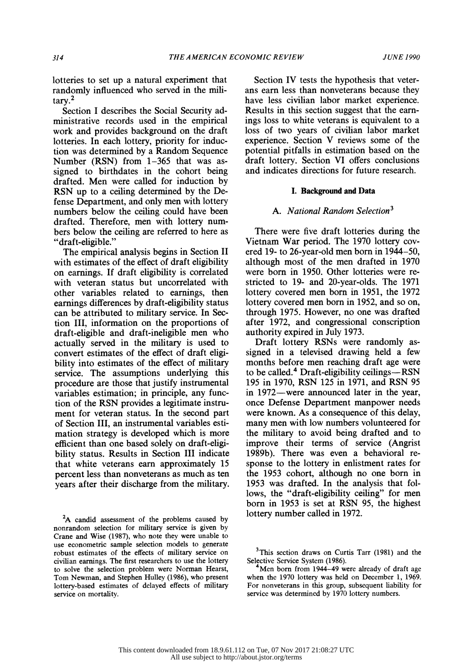lotteries to set up a natural experiment that randomly influenced who served in the mili tary.2

 Section I describes the Social Security ad ministrative records used in the empirical work and provides background on the draft lotteries. In each lottery, priority for induc tion was determined by a Random Sequence Number (RSN) from 1-365 that was as signed to birthdates in the cohort being drafted. Men were called for induction by RSN up to a ceiling determined by the De fense Department, and only men with lottery numbers below the ceiling could have been drafted. Therefore, men with lottery num bers below the ceiling are referred to here as "draft-eligible."

 The empirical analysis begins in Section II with estimates of the effect of draft eligibility on earnings. If draft eligibility is correlated with veteran status but uncorrelated with other variables related to earnings, then earnings differences by draft-eligibility status can be attributed to military service. In Sec tion III, information on the proportions of draft-eligible and draft-ineligible men who actually served in the military is used to convert estimates of the effect of draft eligi bility into estimates of the effect of military service. The assumptions underlying this procedure are those that justify instrumental variables estimation; in principle, any func tion of the RSN provides a legitimate instru ment for veteran status. In the second part of Section III, an instrumental variables esti mation strategy is developed which is more efficient than one based solely on draft-eligi bility status. Results in Section III indicate that white veterans earn approximately 15 percent less than nonveterans as much as ten years after their discharge from the military.

 Section IV tests the hypothesis that veter ans earn less than nonveterans because they have less civilian labor market experience. Results in this section suggest that the earn ings loss to white veterans is equivalent to a loss of two years of civilian labor market experience. Section V reviews some of the potential pitfalls in estimation based on the draft lottery. Section VI offers conclusions and indicates directions for future research.

## I. Background and Data

#### A. National Random Selection<sup>3</sup>

 There were five draft lotteries during the Vietnam War period. The 1970 lottery cov ered 19- to 26-year-old men born in 1944-50, although most of the men drafted in 1970 were born in 1950. Other lotteries were re stricted to 19- and 20-year-olds. The 1971 lottery covered men born in 1951, the 1972 lottery covered men born in 1952, and so on, through 1975. However, no one was drafted after 1972, and congressional conscription authority expired in July 1973.

 Draft lottery RSNs were randomly as signed in a televised drawing held a few months before men reaching draft age were to be called.<sup>4</sup> Draft-eligibility ceilings—RSN 195 in 1970, RSN 125 in 1971, and RSN 95 in 1972—were announced later in the year, once Defense Department manpower needs were known. As a consequence of this delay, many men with low numbers volunteered for the military to avoid being drafted and to improve their terms of service (Angrist 1989b). There was even a behavioral re sponse to the lottery in enlistment rates for the 1953 cohort, although no one born in 1953 was drafted. In the analysis that fol lows, the "draft-eligibility ceiling" for men born in 1953 is set at RSN 95, the highest lottery number called in 1972.

<sup>&</sup>lt;sup>2</sup>A candid assessment of the problems caused by nonrandom selection for military service is given by Crane and Wise (1987), who note they were unable to use econometric sample selection models to generate robust estimates of the effects of military service on civilian earnings. The first researchers to use the lottery to solve the selection problem were Norman Hearst, Tom Newman, and Stephen Hulley (1986), who present lottery-based estimates of delayed effects of military service on mortality.

<sup>&</sup>lt;sup>3</sup>This section draws on Curtis Tarr (1981) and the Selective Service System (1986).

Men born from 1944-49 were already of draft age when the 1970 lottery was held on December 1, 1969. For nonveterans in this group, subsequent liability for service was determined by 1970 lottery numbers.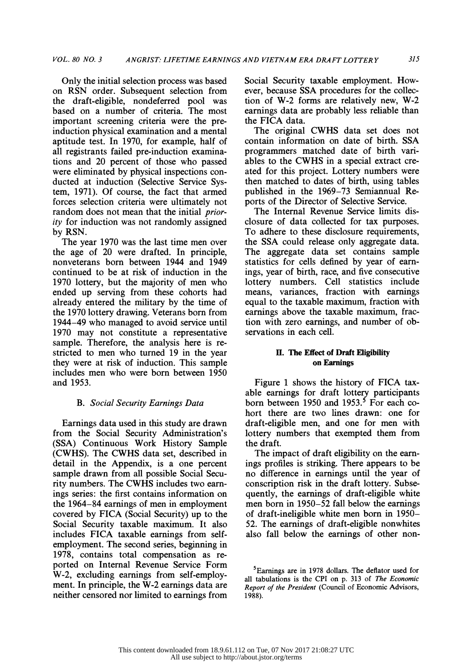Only the initial selection process was based on RSN order. Subsequent selection from the draft-eligible, nondeferred pool was based on a number of criteria. The most important screening criteria were the pre induction physical examination and a mental aptitude test. In 1970, for example, half of all registrants failed pre-induction examina tions and 20 percent of those who passed were eliminated by physical inspections con ducted at induction (Selective Service Sys tem, 1971). Of course, the fact that armed forces selection criteria were ultimately not random does not mean that the initial *prior* ity for induction was not randomly assigned by RSN.

 The year 1970 was the last time men over the age of 20 were drafted. In principle, nonveterans born between 1944 and 1949 continued to be at risk of induction in the 1970 lottery, but the majority of men who ended up serving from these cohorts had already entered the military by the time of the 1970 lottery drawing. Veterans born from 1944-49 who managed to avoid service until 1970 may not constitute a representative sample. Therefore, the analysis here is re stricted to men who turned 19 in the year they were at risk of induction. This sample includes men who were born between 1950 and 1953.

## B. Social Security Earnings Data

 Earnings data used in this study are drawn from the Social Security Administration's (SSA) Continuous Work History Sample (CWHS). The CWHS data set, described in detail in the Appendix, is a one percent sample drawn from all possible Social Secu rity numbers. The CWHS includes two earn ings series: the first contains information on the 1964-84 earnings of men in employment covered by FICA (Social Security) up to the Social Security taxable maximum. It also includes FICA taxable earnings from self employment. The second series, beginning in 1978, contains total compensation as re ported on Internal Revenue Service Form W-2, excluding earnings from self-employ ment. In principle, the W-2 earnings data are neither censored nor limited to earnings from  Social Security taxable employment. How ever, because SSA procedures for the collec tion of W-2 forms are relatively new, W-2 earnings data are probably less reliable than the FICA data.

 The original CWHS data set does not contain information on date of birth. SSA programmers matched date of birth vari ables to the CWHS in a special extract cre ated for this project. Lottery numbers were then matched to dates of birth, using tables published in the 1969-73 Semiannual Re ports of the Director of Selective Service.

 The Internal Revenue Service limits dis closure of data collected for tax purposes. To adhere to these disclosure requirements, the SSA could release only aggregate data. The aggregate data set contains sample statistics for cells defined by year of earn ings, year of birth, race, and five consecutive lottery numbers. Cell statistics include means, variances, fraction with earnings equal to the taxable maximum, fraction with earnings above the taxable maximum, frac tion with zero earnings, and number of ob servations in each cell.

## II. The Effect of Draft Eligibility on Earnings

 Figure 1 shows the history of FICA tax able earnings for draft lottery participants born between 1950 and  $1953<sup>5</sup>$  For each co hort there are two lines drawn: one for draft-eligible men, and one for men with lottery numbers that exempted them from the draft.

 The impact of draft eligibility on the earn ings profiles is striking. There appears to be no difference in earnings until the year of conscription risk in the draft lottery. Subse quently, the earnings of draft-eligible white men born in 1950-52 fall below the earnings of draft-ineligible white men born in 1950- 52. The earnings of draft-eligible nonwhites also fall below the earnings of other non-

 <sup>5</sup>Eamings are in 1978 dollars. The deflator used for all tabulations is the CPI on p. 313 of The Economic Report of the President (Council of Economic Advisors, 1988).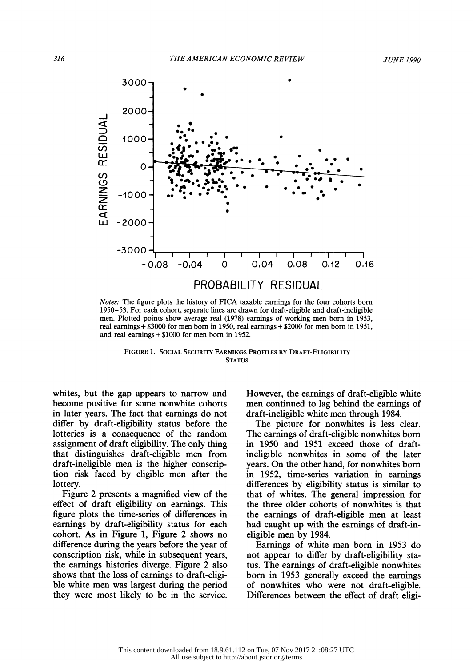

 Notes: The figure plots the history of FICA taxable earnings for the four cohorts born 1950-53. For each cohort, separate lines are drawn for draft-eligible and draft-ineligible men. Plotted points show average real (1978) earnings of working men born in 1953, real earnings + \$3000 for men born in 1950, real earnings + \$2000 for men born in 1951, and real earnings + \$1000 for men born in 1952.

 FIGURE 1. SOCIAL SECURITY EARNINGS PROFILES BY DRAFT-ELIGIBILITY **STATUS** 

 whites, but the gap appears to narrow and become positive for some nonwhite cohorts in later years. The fact that earnings do not differ by draft-eligibility status before the lotteries is a consequence of the random assignment of draft eligibility. The only thing that distinguishes draft-eligible men from draft-ineligible men is the higher conscrip tion risk faced by eligible men after the lottery.

 Figure 2 presents a magnified view of the effect of draft eligibility on earnings. This figure plots the time-series of differences in earnings by draft-eligibility status for each cohort. As in Figure 1, Figure 2 shows no difference during the years before the year of conscription risk, while in subsequent years, the earnings histories diverge. Figure 2 also shows that the loss of earnings to draft-eligi ble white men was largest during the period they were most likely to be in the service.  However, the earnings of draft-eligible white men continued to lag behind the earnings of draft-ineligible white men through 1984.

 The picture for nonwhites is less clear. The earnings of draft-eligible nonwhites born in 1950 and 1951 exceed those of draft ineligible nonwhites in some of the later years. On the other hand, for nonwhites born in 1952, time-series variation in earnings differences by eligibility status is similar to that of whites. The general impression for the three older cohorts of nonwhites is that the earnings of draft-eligible men at least had caught up with the earnings of draft-in eligible men by 1984.

 Earnings of white men born in 1953 do not appear to differ by draft-eligibility sta tus. The earnings of draft-eligible nonwhites born in 1953 generally exceed the earnings of nonwhites who were not draft-eligible. Differences between the effect of draft eligi-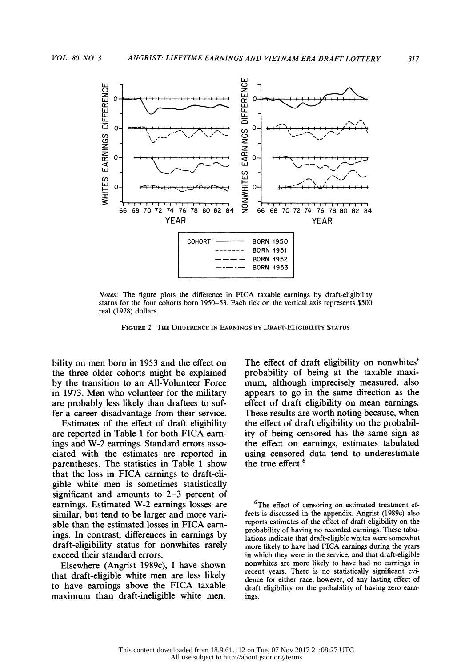

 Notes: The figure plots the difference in FICA taxable earnings by draft-eligibility status for the four cohorts born 1950-53. Each tick on the vertical axis represents \$500 real (1978) dollars.

FIGuRE 2. THE DIFFERENCE IN EARNINGS By DRAFT-ELIGIBILITY STATUS

 bility on men born in 1953 and the effect on the three older cohorts might be explained by the transition to an All-Volunteer Force in 1973. Men who volunteer for the military are probably less likely than draftees to suf fer a career disadvantage from their service.

 Estimates of the effect of draft eligibility are reported in Table 1 for both FICA earn ings and W-2 earnings. Standard errors asso ciated with the estimates are reported in parentheses. The statistics in Table 1 show that the loss in FICA earnings to draft-eli gible white men is sometimes statistically significant and amounts to 2-3 percent of earnings. Estimated W-2 earnings losses are similar, but tend to be larger and more vari able than the estimated losses in FICA earn ings. In contrast, differences in earnings by draft-eligibility status for nonwhites rarely exceed their standard errors.

 Elsewhere (Angrist 1989c), I have shown that draft-eligible white men are less likely to have earnings above the FICA taxable maximum than draft-ineligible white men.

 The effect of draft eligibility on nonwhites' probability of being at the taxable maxi mum, although imprecisely measured, also appears to go in the same direction as the effect of draft eligibility on mean earnings. These results are worth noting because, when the effect of draft eligibility on the probabil ity of being censored has the same sign as the effect on earnings, estimates tabulated using censored data tend to underestimate the true effect.<sup>6</sup>

<sup>6</sup>The effect of censoring on estimated treatment ef fects is discussed in the appendix. Angrist (1989c) also reports estimates of the effect of draft eligibility on the probability of having no recorded earnings. These tabu lations indicate that draft-eligible whites were somewhat more likely to have had FICA earnings during the years in which they were in the service, and that draft-eligible nonwhites are more likely to have had no earnings in recent years. There is no statistically significant evi dence for either race, however, of any lasting effect of draft eligibility on the probability of having zero earn ings.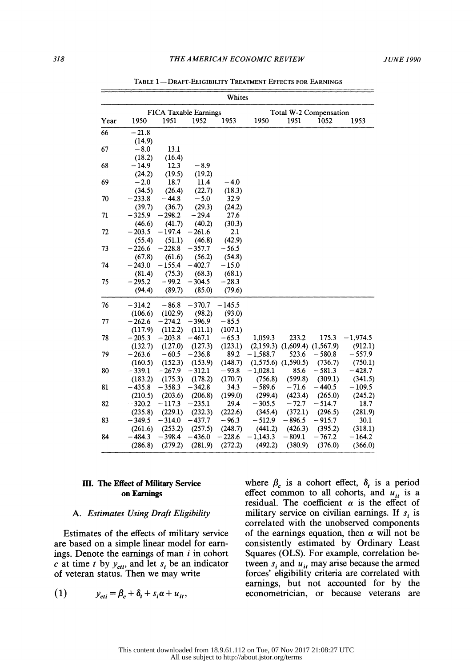#### 318 THE A MERICAN ECONOMIC REVIEW JUNE 1990

|      |          |                       |          | Whites   |            |                        |            |            |  |  |
|------|----------|-----------------------|----------|----------|------------|------------------------|------------|------------|--|--|
|      |          | FICA Taxable Earnings |          |          |            | Total W-2 Compensation |            |            |  |  |
| Year | 1950     | 1951                  | 1952     | 1953     | 1950       | 1951                   | 1052       | 1953       |  |  |
| 66   | $-21.8$  |                       |          |          |            |                        |            |            |  |  |
|      | (14.9)   |                       |          |          |            |                        |            |            |  |  |
| 67   | $-8.0$   | 13.1                  |          |          |            |                        |            |            |  |  |
|      | (18.2)   | (16.4)                |          |          |            |                        |            |            |  |  |
| 68   | $-14.9$  | 12.3                  | $-8.9$   |          |            |                        |            |            |  |  |
|      | (24.2)   | (19.5)                | (19.2)   |          |            |                        |            |            |  |  |
| 69   | $-2.0$   | 18.7                  | 11.4     | $-4.0$   |            |                        |            |            |  |  |
|      | (34.5)   | (26.4)                | (22.7)   | (18.3)   |            |                        |            |            |  |  |
| 70   | $-233.8$ | $-44.8$               | $-5.0$   | 32.9     |            |                        |            |            |  |  |
|      | (39.7)   | (36.7)                | (29.3)   | (24.2)   |            |                        |            |            |  |  |
| 71   | $-325.9$ | $-298.2$              | $-29.4$  | 27.6     |            |                        |            |            |  |  |
|      | (46.6)   | (41.7)                | (40.2)   | (30.3)   |            |                        |            |            |  |  |
| 72   | $-203.5$ | $-197.4$              | $-261.6$ | 2.1      |            |                        |            |            |  |  |
|      | (55.4)   | (51.1)                | (46.8)   | (42.9)   |            |                        |            |            |  |  |
| 73   | $-226.6$ | $-228.8$              | $-357.7$ | $-56.5$  |            |                        |            |            |  |  |
|      | (67.8)   | (61.6)                | (56.2)   | (54.8)   |            |                        |            |            |  |  |
| 74   | $-243.0$ | $-155.4$              | $-402.7$ | $-15.0$  |            |                        |            |            |  |  |
|      | (81.4)   | (75.3)                | (68.3)   | (68.1)   |            |                        |            |            |  |  |
| 75   | $-295.2$ | $-99.2$               | $-304.5$ | $-28.3$  |            |                        |            |            |  |  |
|      | (94.4)   | (89.7)                | (85.0)   | (79.6)   |            |                        |            |            |  |  |
| 76   | $-314.2$ | $-86.8$               | $-370.7$ | $-145.5$ |            |                        |            |            |  |  |
|      | (106.6)  | (102.9)               | (98.2)   | (93.0)   |            |                        |            |            |  |  |
| 77   | $-262.6$ | $-274.2$              | $-396.9$ | $-85.5$  |            |                        |            |            |  |  |
|      | (117.9)  | (112.2)               | (111.1)  | (107.1)  |            |                        |            |            |  |  |
| 78   | $-205.3$ | $-203.8$              | $-467.1$ | $-65.3$  | 1,059.3    | 233.2                  | 175.3      | $-1,974.5$ |  |  |
|      | (132.7)  | (127.0)               | (127.3)  | (123.1)  | (2,159.3)  | (1,609.4)              | (1, 567.9) | (912.1)    |  |  |
| 79   | $-263.6$ | $-60.5$               | $-236.8$ | 89.2     | $-1,588.7$ | 523.6                  | $-580.8$   | $-557.9$   |  |  |
|      | (160.5)  | (152.3)               | (153.9)  | (148.7)  | (1,575.6)  | (1,590.5)              | (736.7)    | (750.1)    |  |  |
| 80   | $-339.1$ | $-267.9$              | $-312.1$ | $-93.8$  | $-1,028.1$ | 85.6                   | $-581.3$   | $-428.7$   |  |  |
|      | (183.2)  | (175.3)               | (178.2)  | (170.7)  | (756.8)    | (599.8)                | (309.1)    | (341.5)    |  |  |
| 81   | $-435.8$ | $-358.3$              | $-342.8$ | 34.3     | $-589.6$   | $-71.6$                | $-440.5$   | $-109.5$   |  |  |
|      | (210.5)  | (203.6)               | (206.8)  | (199.0)  | (299.4)    | (423.4)                | (265.0)    | (245.2)    |  |  |
| 82   | $-320.2$ | $-117.3$              | $-235.1$ | 29.4     | $-305.5$   | $-72.7$                | $-514.7$   | 18.7       |  |  |
|      | (235.8)  | (229.1)               | (232.3)  | (222.6)  | (345.4)    | (372.1)                | (296.5)    | (281.9)    |  |  |
| 83   | $-349.5$ | $-314.0$              | $-437.7$ | $-96.3$  | $-512.9$   | $-896.5$               | $-915.7$   | 30.1       |  |  |
|      | (261.6)  | (253.2)               | (257.5)  | (248.7)  | (441.2)    | (426.3)                | (395.2)    | (318.1)    |  |  |
| 84   | $-484.3$ | $-398.4$              | $-436.0$ | $-228.6$ | $-1,143.3$ | $-809.1$               | $-767.2$   | $-164.2$   |  |  |
|      | (286.8)  | (279.2)               | (281.9)  | (272.2)  | (492.2)    | (380.9)                | (376.0)    | (366.0)    |  |  |

TABLE 1-DRAFT-ELIGIBILITY TREATMENT EFFECTS FOR EARNINGS

# III. The Effect of Military Service on Earnings

### A. Estimates Using Draft Eligibility

 Estimates of the effects of military service are based on a simple linear model for earn ings. Denote the earnings of man  $i$  in cohort c at time t by  $y_{\text{cti}}$ , and let  $s_i$  be an indicator t of veteran status. Then we may write

$$
(1) \hspace{1cm} y_{\text{cri}} = \beta_c + \delta_t + s_i \alpha + u_{it},
$$

where  $\beta_c$  is a cohort effect,  $\delta_t$  is a period effect common to all cohorts, and  $u_{it}$  is a residual. The coefficient  $\alpha$  is the effect of military service on civilian earnings. If  $s_i$  is correlated with the unobserved components of the earnings equation, then  $\alpha$  will not be consistently estimated by Ordinary Least Squares (OLS). For example, correlation be tween  $s_i$  and  $u_i$ , may arise because the armed forces' eligibility criteria are correlated with earnings, but not accounted for by the econometrician, or because veterans are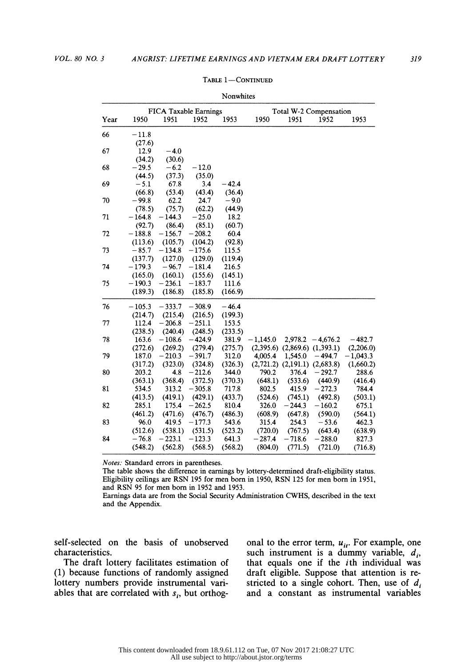|      |          |          |                              | <b>TAOTIMITICS</b> |                        |                         |                                     |            |  |
|------|----------|----------|------------------------------|--------------------|------------------------|-------------------------|-------------------------------------|------------|--|
|      |          |          | <b>FICA Taxable Earnings</b> |                    | Total W-2 Compensation |                         |                                     |            |  |
| Year | 1950     | 1951     | 1952                         | 1953               | 1950                   | 1951                    | 1952                                | 1953       |  |
| 66   | $-11.8$  |          |                              |                    |                        |                         |                                     |            |  |
|      | (27.6)   |          |                              |                    |                        |                         |                                     |            |  |
| 67   | 12.9     | $-4.0$   |                              |                    |                        |                         |                                     |            |  |
|      | (34.2)   | (30.6)   |                              |                    |                        |                         |                                     |            |  |
| 68   | $-29.5$  | $-6.2$   | $-12.0$                      |                    |                        |                         |                                     |            |  |
|      | (44.5)   | (37.3)   | (35.0)                       |                    |                        |                         |                                     |            |  |
| 69   | $-5.1$   | 67.8     | 3.4                          | $-42.4$            |                        |                         |                                     |            |  |
|      | (66.8)   | (53.4)   | (43.4)                       | (36.4)             |                        |                         |                                     |            |  |
| 70   | $-99.8$  | 62.2     | 24.7                         | $-9.0$             |                        |                         |                                     |            |  |
|      | (78.5)   | (75.7)   | (62.2)                       | (44.9)             |                        |                         |                                     |            |  |
| 71   | $-164.8$ | $-144.3$ | $-25.0$                      | 18.2               |                        |                         |                                     |            |  |
|      | (92.7)   | (86.4)   | (85.1)                       | (60.7)             |                        |                         |                                     |            |  |
| 72   | $-188.8$ | $-156.7$ | $-208.2$                     | 60.4               |                        |                         |                                     |            |  |
|      | (113.6)  | (105.7)  | (104.2)                      | (92.8)             |                        |                         |                                     |            |  |
| 73   | $-85.7$  | $-134.8$ | $-175.6$                     | 115.5              |                        |                         |                                     |            |  |
|      | (137.7)  | (127.0)  | (129.0)                      | (119.4)            |                        |                         |                                     |            |  |
| 74   | $-179.3$ | $-96.7$  | $-181.4$                     | 216.5              |                        |                         |                                     |            |  |
|      | (165.0)  | (160.1)  | (155.6)                      | (145.1)            |                        |                         |                                     |            |  |
| 75   | $-190.3$ | $-236.1$ | $-183.7$                     | 111.6              |                        |                         |                                     |            |  |
|      | (189.3)  | (186.8)  | (185.8)                      | (166.9)            |                        |                         |                                     |            |  |
| 76   | $-105.3$ | $-333.7$ | $-308.9$                     | $-46.4$            |                        |                         |                                     |            |  |
|      | (214.7)  | (215.4)  | (216.5)                      | (199.3)            |                        |                         |                                     |            |  |
| 77   | 112.4    | $-206.8$ | $-251.1$                     | 153.5              |                        |                         |                                     |            |  |
|      | (238.5)  | (240.4)  | (248.5)                      | (233.5)            |                        |                         |                                     |            |  |
| 78   | 163.6    | $-108.6$ | $-424.9$                     | 381.9              | $-1,145.0$             |                         | $2,978.2 - 4,676.2$                 | $-482.7$   |  |
|      | (272.6)  | (269.2)  | (279.4)                      | (275.7)            |                        |                         | $(2,395.6)$ $(2,869.6)$ $(1,393.1)$ | (2,206.0)  |  |
| 79   | 187.0    | $-210.3$ | $-391.7$                     | 312.0              | 4,005.4                | 1,545.0                 | $-494.7$                            | $-1,043.3$ |  |
|      | (317.2)  | (323.0)  | (324.8)                      | (326.3)            |                        | $(2,721.2)$ $(2,191.1)$ | (2,683.8)                           | (1,660.2)  |  |
| 80   | 203.2    | 4.8      | $-212.6$                     | 344.0              | 790.2                  | 376.4                   | $-292.7$                            | 288.6      |  |
|      | (363.1)  | (368.4)  | (372.5)                      | (370.3)            | (648.1)                | (533.6)                 | (440.9)                             | (416.4)    |  |
| 81   | 534.5    | 313.2    | $-305.8$                     | 717.8              | 802.5                  | 415.9                   | $-272.3$                            | 784.4      |  |
|      | (413.5)  | (419.1)  | (429.1)                      | (433.7)            | (524.6)                | (745.1)                 | (492.8)                             | (503.1)    |  |
| 82   | 285.1    | 175.4    | $-262.5$                     | 810.4              | 326.0                  | $-244.3$                | $-160.2$                            | 675.1      |  |
|      | (461.2)  | (471.6)  | (476.7)                      | (486.3)            | (608.9)                | (647.8)                 | (590.0)                             | (564.1)    |  |
| 83   | 96.0     | 419.5    | $-177.3$                     | 543.6              | 315.4                  | 254.3                   | $-53.6$                             | 462.3      |  |
|      | (512.6)  | (538.1)  | (531.5)                      | (523.2)            | (720.0)                | (767.5)                 | (643.4)                             | (638.9)    |  |
| 84   | $-76.8$  | $-223.1$ | $-123.3$                     | 641.3              | $-287.4$               | $-718.6$                | $-288.0$                            | 827.3      |  |
|      | (548.2)  | (562.8)  | (568.5)                      | (568.2)            | (804.0)                | (771.5)                 | (721.0)                             | (716.8)    |  |
|      |          |          |                              |                    |                        |                         |                                     |            |  |

TABLE 1-CONTINUED Nonwhites

Notes: Standard errors in parentheses.

 The table shows the difference in earnings by lottery-determined draft-eligibility status. Eligibility ceilings are RSN 195 for men born in 1950, RSN 125 for men born in 1951, and RSN 95 for men born in 1952 and 1953.

 Earnings data are from the Social Security Administration CWHS, described in the text and the Appendix.

 self-selected on the basis of unobserved characteristics.

 The draft lottery facilitates estimation of (1) because functions of randomly assigned lottery numbers provide instrumental vari ables that are correlated with  $s_i$ , but orthogonal to the error term,  $u_{it}$ . For example, one such instrument is a dummy variable,  $d_i$ , that equals one if the  $i$ th individual was draft eligible. Suppose that attention is re stricted to a single cohort. Then, use of  $d_i$ and a constant as instrumental variables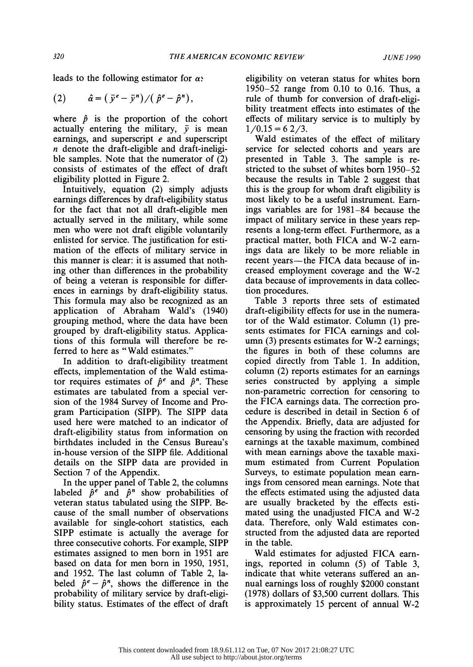leads to the following estimator for  $\alpha$ .

$$
(2) \qquad \hat{a} = (\bar{y}^e - \bar{y}^n) / (\hat{p}^e - \hat{p}^n),
$$

where  $\hat{p}$  is the proportion of the cohort actually entering the military,  $\bar{v}$  is mean earnings, and superscript e and superscript n denote the draft-eligible and draft-ineligi ble samples. Note that the numerator of (2) consists of estimates of the effect of draft eligibility plotted in Figure 2.

 Intuitively, equation (2) simply adjusts earnings differences by draft-eligibility status for the fact that not all draft-eligible men actually served in the military, while some men who were not draft eligible voluntarily enlisted for service. The justification for esti mation of the effects of military service in this manner is clear: it is assumed that noth ing other than differences in the probability of being a veteran is responsible for differ ences in earnings by draft-eligibility status. This formula may also be recognized as an application of Abraham Wald's (1940) grouping method, where the data have been grouped by draft-eligibility status. Applica tions of this formula will therefore be re ferred to here as "Wald estimates."

 In addition to draft-eligibility treatment effects, implementation of the Wald estima tor requires estimates of  $\hat{p}^e$  and  $\hat{p}^n$ . These estimates are tabulated from a special ver sion of the 1984 Survey of Income and Pro gram Participation (SIPP). The SIPP data used here were matched to an indicator of draft-eligibility status from information on birthdates included in the Census Bureau's in-house version of the SIPP file. Additional details on the SIPP data are provided in Section 7 of the Appendix.

 In the upper panel of Table 2, the columns labeled  $\hat{p}^e$  and  $\hat{p}^n$  show probabilities of veteran status tabulated using the SIPP. Be cause of the small number of observations available for single-cohort statistics, each SIPP estimate is actually the average for three consecutive cohorts. For example, SIPP estimates assigned to men born in 1951 are based on data for men born in 1950, 1951, and 1952. The last column of Table 2, la beled  $\hat{p}^e - \hat{p}^n$ , shows the difference in the probability of military service by draft-eligi bility status. Estimates of the effect of draft

 eligibility on veteran status for whites born 1950-52 range from 0.10 to 0.16. Thus, a rule of thumb for conversion of draft-eligi bility treatment effects into estimates of the effects of military service is to multiply by  $1/0.15 = 62/3.$ 

 Wald estimates of the effect of military service for selected cohorts and years are presented in Table 3. The sample is re stricted to the subset of whites born 1950-52 because the results in Table 2 suggest that this is the group for whom draft eligibility is most likely to be a useful instrument. Earn ings variables are for 1981-84 because the impact of military service in these years rep resents a long-term effect. Furthermore, as a practical matter, both FICA and W-2 earn ings data are likely to be more reliable in recent years—the FICA data because of in creased employment coverage and the W-2 data because of improvements in data collec tion procedures.

 Table 3 reports three sets of estimated draft-eligibility effects for use in the numera tor of the Wald estimator. Column (1) pre sents estimates for FICA earnings and col umn (3) presents estimates for W-2 earnings; the figures in both of these columns are copied directly from Table 1. In addition, column (2) reports estimates for an earnings series constructed by applying a simple non-parametric correction for censoring to the FICA earnings data. The correction pro cedure is described in detail in Section 6 of the Appendix. Briefly, data are adjusted for censoring by using the fraction with recorded earnings at the taxable maximum, combined with mean earnings above the taxable maxi mum estimated from Current Population Surveys, to estimate population mean earn ings from censored mean earnings. Note that the effects estimated using the adjusted data are usually bracketed by the effects esti mated using the unadjusted FICA and W-2 data. Therefore, only Wald estimates con structed from the adjusted data are reported in the table.

 Wald estimates for adjusted FICA earn ings, reported in column (5) of Table 3, indicate that white veterans suffered an an nual earnings loss of roughly \$2000 constant (1978) dollars of \$3,500 current dollars. This is approximately 15 percent of annual W-2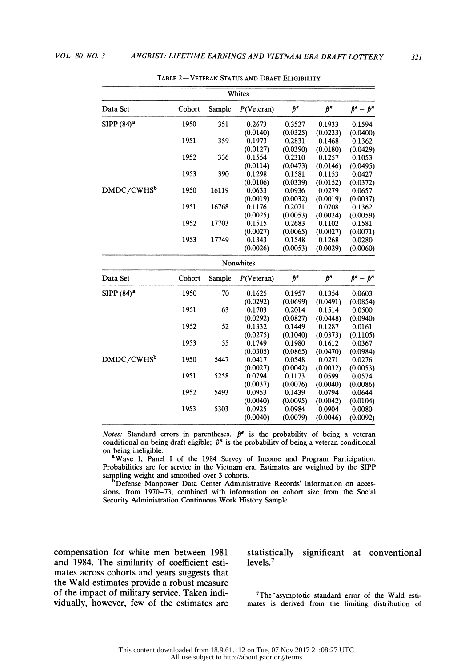|                        | Whites |        |             |             |             |                         |  |  |
|------------------------|--------|--------|-------------|-------------|-------------|-------------------------|--|--|
| Data Set               | Cohort | Sample | P(Vectoran) | $\hat{p}^e$ | $\hat{p}^n$ | $\hat{p}^e - \hat{p}^n$ |  |  |
| $SIPP(84)^a$           | 1950   | 351    | 0.2673      | 0.3527      | 0.1933      | 0.1594                  |  |  |
|                        |        |        | (0.0140)    | (0.0325)    | (0.0233)    | (0.0400)                |  |  |
|                        | 1951   | 359    | 0.1973      | 0.2831      | 0.1468      | 0.1362                  |  |  |
|                        |        |        | (0.0127)    | (0.0390)    | (0.0180)    | (0.0429)                |  |  |
|                        | 1952   | 336    | 0.1554      | 0.2310      | 0.1257      | 0.1053                  |  |  |
|                        |        |        | (0.0114)    | (0.0473)    | (0.0146)    | (0.0495)                |  |  |
|                        | 1953   | 390    | 0.1298      | 0.1581      | 0.1153      | 0.0427                  |  |  |
|                        |        |        | (0.0106)    | (0.0339)    | (0.0152)    | (0.0372)                |  |  |
| DMDC/CWHS <sup>b</sup> | 1950   | 16119  | 0.0633      | 0.0936      | 0.0279      | 0.0657                  |  |  |
|                        |        |        | (0.0019)    | (0.0032)    | (0.0019)    | (0.0037)                |  |  |
|                        | 1951   | 16768  | 0.1176      | 0.2071      | 0.0708      | 0.1362                  |  |  |
|                        |        |        | (0.0025)    | (0.0053)    | (0.0024)    | (0.0059)                |  |  |
|                        | 1952   | 17703  | 0.1515      | 0.2683      | 0.1102      | 0.1581                  |  |  |
|                        |        |        | (0.0027)    | (0.0065)    | (0.0027)    | (0.0071)                |  |  |
|                        | 1953   | 17749  | 0.1343      | 0.1548      | 0.1268      | 0.0280                  |  |  |
|                        |        |        | (0.0026)    | (0.0053)    | (0.0029)    | (0.0060)                |  |  |
|                        |        |        | Nonwhites   |             |             |                         |  |  |
| Data Set               | Cohort | Sample | P(Vectoran) | $\hat{p}^e$ | $\hat{p}^n$ | $\hat{p}^e - \hat{p}^n$ |  |  |
| $SIPP(84)^a$           | 1950   | 70     | 0.1625      | 0.1957      | 0.1354      | 0.0603                  |  |  |
|                        |        |        | (0.0292)    | (0.0699)    | (0.0491)    | (0.0854)                |  |  |
|                        | 1951   | 63     | 0.1703      | 0.2014      | 0.1514      | 0.0500                  |  |  |
|                        |        |        | (0.0292)    | (0.0827)    | (0.0448)    | (0.0940)                |  |  |
|                        | 1952   | 52     | 0.1332      | 0.1449      | 0.1287      | 0.0161                  |  |  |
|                        |        |        | (0.0275)    | (0.1040)    | (0.0373)    | (0.1105)                |  |  |
|                        | 1953   | 55     | 0.1749      | 0.1980      | 0.1612      | 0.0367                  |  |  |
|                        |        |        | (0.0305)    | (0.0865)    | (0.0470)    | (0.0984)                |  |  |
| DMDC/CWHS <sup>b</sup> | 1950   | 5447   | 0.0417      | 0.0548      | 0.0271      | 0.0276                  |  |  |
|                        |        |        | (0.0027)    | (0.0042)    | (0.0032)    | (0.0053)                |  |  |
|                        | 1951   | 5258   | 0.0794      | 0.1173      | 0.0599      | 0.0574                  |  |  |
|                        |        |        | (0.0037)    | (0.0076)    | (0.0040)    | (0.0086)                |  |  |
|                        | 1952   | 5493   | 0.0953      | 0.1439      | 0.0794      | 0.0644                  |  |  |
|                        |        |        | (0.0040)    | (0.0095)    | (0.0042)    | (0.0104)                |  |  |
|                        | 1953   | 5303   | 0.0925      | 0.0984      | 0.0904      | 0.0080                  |  |  |
|                        |        |        | (0.0040)    | (0.0079)    | (0.0046)    | (0.0092)                |  |  |
|                        |        |        |             |             |             |                         |  |  |

TABLE 2-VETERAN STATUS AND DRAFT ELIGIBILITY

Notes: Standard errors in parentheses.  $\hat{p}^e$  is the probability of being a veteran conditional on being draft eligible;  $\hat{p}^n$  is the probability of being a veteran conditional on being ineligible.

<sup>a</sup>Wave I, Panel I of the 1984 Survey of Income and Program Participation. Probabilities are for service in the Vietnam era. Estimates are weighted by the SIPP sampling weight and smoothed over 3 cohorts.

bDefense Manpower Data Center Administrative Records' information on acces sions, from 1970-73, combined with information on cohort size from the Social Security Administration Continuous Work History Sample.

 compensation for white men between 1981 and 1984. The similarity of coefficient esti mates across cohorts and years suggests that the Wald estimates provide a robust measure of the impact of military service. Taken indi vidually, however, few of the estimates are  statistically significant at conventional levels.7

 7The'asymptotic standard error of the Wald esti mates is derived from the limiting distribution of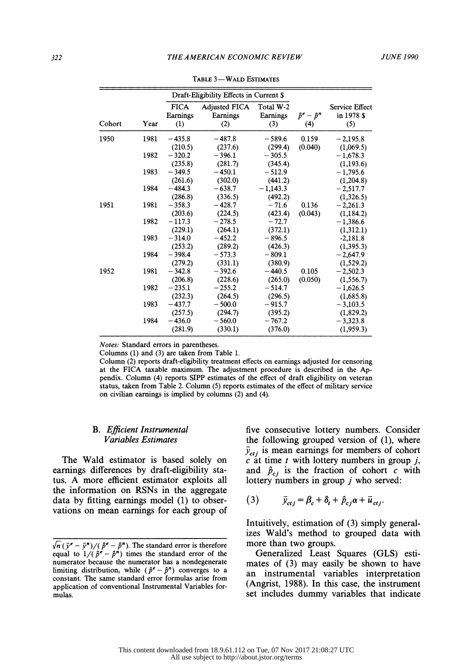|        |      |                                             | Draft-Eligibility Effects in Current \$ |                              |                                |                                            |
|--------|------|---------------------------------------------|-----------------------------------------|------------------------------|--------------------------------|--------------------------------------------|
| Cohort | Year | <b>FICA</b><br>Earnings<br>$\left(1\right)$ | <b>Adjusted FICA</b><br>Earnings<br>(2) | Total W-2<br>Earnings<br>(3) | $\hat{p}^e - \hat{p}^n$<br>(4) | <b>Service Effect</b><br>in 1978 \$<br>(5) |
| 1950   | 1981 | $-435.8$<br>(210.5)                         | $-487.8$<br>(237.6)                     | $-589.6$<br>(299.4)          | 0.159<br>(0.040)               | $-2,195.8$<br>(1,069.5)                    |
|        | 1982 | $-320.2$<br>(235.8)                         | $-396.1$<br>(281.7)                     | $-305.5$<br>(345.4)          |                                | $-1,678.3$<br>(1,193.6)                    |
|        | 1983 | $-349.5$<br>(261.6)                         | $-450.1$<br>(302.0)                     | $-512.9$<br>(441.2)          |                                | $-1,795.6$<br>(1,204.8)                    |
|        | 1984 | $-484.3$<br>(286.8)                         | $-638.7$<br>(336.5)                     | $-1,143.3$<br>(492.2)        |                                | $-2,517.7$<br>(1,326.5)                    |
| 1951   | 1981 | $-358.3$<br>(203.6)                         | $-428.7$<br>(224.5)                     | $-71.6$<br>(423.4)           | 0.136<br>(0.043)               | $-2,261.3$<br>(1, 184.2)                   |
|        | 1982 | $-117.3$<br>(229.1)                         | $-278.5$<br>(264.1)                     | $-72.7$<br>(372.1)           |                                | $-1,386.6$<br>(1,312.1)                    |
|        | 1983 | $-314.0$<br>(253.2)                         | $-452.2$<br>(289.2)                     | $-896.5$<br>(426.3)          |                                | $-2,181.8$<br>(1, 395.3)                   |
|        | 1984 | $-398.4$<br>(279.2)                         | $-573.3$<br>(331.1)                     | $-809.1$<br>(380.9)          |                                | $-2,647.9$<br>(1, 529.2)                   |
| 1952   | 1981 | $-342.8$<br>(206.8)                         | $-392.6$<br>(228.6)                     | $-440.5$<br>(265.0)          | 0.105<br>(0.050)               | $-2,502.3$<br>(1, 556.7)                   |
|        | 1982 | $-235.1$<br>(232.3)                         | $-255.2$<br>(264.5)                     | $-514.7$<br>(296.5)          |                                | $-1,626.5$<br>(1,685.8)                    |
|        | 1983 | $-437.7$<br>(257.5)                         | $-500.0$<br>(294.7)                     | $-915.7$<br>(395.2)          |                                | $-3,103.5$<br>(1, 829.2)                   |
|        | 1984 | $-436.0$<br>(281.9)                         | $-560.0$<br>(330.1)                     | $-767.2$<br>(376.0)          |                                | $-3,323.8$<br>(1,959.3)                    |

TABLE 3-WALD ESTIMATES

Notes: Standard errors in parentheses.

Columns (1) and (3) are taken from Table 1.

 Column (2) reports draft-eligibility treatment effects on earnings adjusted for censoring at the FICA taxable maximum. The adjustment procedure is described in the Ap pendix. Column (4) reports SIPP estimates of the effect of draft eligibility on veteran status, taken from Table 2. Column (5) reports estimates of the effect of military service on civilian earnings is implied by columns (2) and (4).

# B. Efficient Instrumental Variables Estimates

 The Wald estimator is based solely on earnings differences by draft-eligibility sta tus. A more efficient estimator exploits all the information on RSNs in the aggregate data by fitting earnings model (1) to obser vations on mean earnings for each group of  five consecutive lottery numbers. Consider the following grouped version of (1), where  $\bar{y}_{ctj}$  is mean earnings for members of cohort  $c$  at time  $t$  with lottery numbers in group  $j$ , and  $\hat{p}_{ci}$  is the fraction of cohort c with lottery numbers in group  $j$  who served:

$$
(3) \qquad \bar{y}_{ctj} = \beta_c + \delta_t + \hat{p}_{cj} \alpha + \bar{u}_{ctj}.
$$

 Intuitively, estimation of (3) simply general izes Wald's method to grouped data with more than two groups.

 Generalized Least Squares (GLS) esti mates of (3) may easily be shown to have an instrumental variables interpretation (Angrist, 1988). In this case, the instrument set includes dummy variables that indicate

 $\sqrt{n}(\bar{y}^e - \bar{y}^n)/(\hat{p}^e - \hat{p}^n)$ . The standard error is therefore equal to  $1/(\hat{p}^e - \hat{p}^n)$  times the standard error of the numerator because the numerator has a nondegenerate limiting distribution, while  $(\hat{p}^e - \hat{p}^n)$  converges to a constant. The same standard error formulas arise from application of conventional Instrumental Variables for mulas.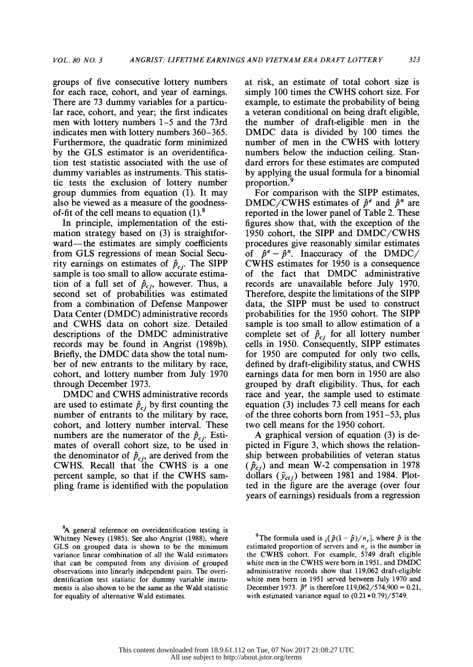groups of five consecutive lottery numbers for each race, cohort, and year of earnings. There are 73 dummy variables for a particu lar race, cohort, and year; the first indicates men with lottery numbers 1-5 and the 73rd indicates men with lottery numbers 360-365. Furthermore, the quadratic form minimized by the GLS estimator is an overidentifica tion test statistic associated with the use of dummy variables as instruments. This statis tic tests the exclusion of lottery number group dummies from equation (1). It may also be viewed as a measure of the goodness of-fit of the cell means to equation  $(1)$ .<sup>8</sup>

 In principle, implementation of the esti mation strategy based on (3) is straightfor ward-the estimates are simply coefficients from GLS regressions of mean Social Secu rity earnings on estimates of  $\hat{p}_{ci}$ . The SIPP sample is too small to allow accurate estima tion of a full set of  $\hat{p}_{c,i}$ , however. Thus, a second set of probabilities was estimated from a combination of Defense Manpower Data Center (DMDC) administrative records and CWHS data on cohort size. Detailed descriptions of the DMDC administrative records may be found in Angrist (1989b). Briefly, the DMDC data show the total num ber of new entrants to the military by race, cohort, and lottery number from July 1970 through December 1973.

 DMDC and CWHS administrative records are used to estimate  $\hat{p}_{ci}$  by first counting the eq number of entrants to the military by race, cohort, and lottery number interval. These numbers are the numerator of the  $\hat{p}_{ci}$ . Estimates of overall cohort size, to be used in the denominator of  $\hat{p}_{c,i}$ , are derived from the CWHS. Recall that the CWHS is a one percent sample, so that if the CWHS sam pling frame is identified with the population

<sup>8</sup>A general reference on overidentification testing is Whitney Newey (1985). See also Angrist (1988), where GLS on grouped data is shown to be the minimum variance linear combination of all the Wald estimators that can be computed from any division of grouped observations into linearly independent pairs. The overi dentification test statistic for dummy variable instru ments is also shown to be the same as the Wald statistic for equality of alternative Wald estimates.

 at risk, an estimate of total cohort size is simply 100 times the CWHS cohort size. For example, to estimate the probability of being a veteran conditional on being draft eligible, the number of draft-eligible men in the DMDC data is divided by 100 times the number of men in the CWHS with lottery numbers below the induction ceiling. Stan dard errors for these estimates are computed by applying the usual formula for a binomial proportion.<sup>9</sup>

 For comparison with the SIPP estimates, DMDC/CWHS estimates of  $\hat{p}^e$  and  $\hat{p}^n$  are reported in the lower panel of Table 2. These figures show that, with the exception of the 1950 cohort, the SIPP and DMDC/CWHS procedures give reasonably similar estimates of  $\hat{p}^e - \hat{p}^n$ . Inaccuracy of the DMDC/ CWHS estimates for 1950 is a consequence of the fact that DMDC administrative records are unavailable before July 1970. Therefore, despite the limitations of the SIPP data, the SIPP must be used to construct probabilities for the 1950 cohort. The SIPP sample is too small to allow estimation of a complete set of  $\hat{p}_{c,i}$  for all lottery number cells in 1950. Consequently, SIPP estimates for 1950 are computed for only two cells, defined by draft-eligibility status, and CWHS earnings data for men born in 1950 are also grouped by draft eligibility. Thus, for each race and year, the sample used to estimate equation (3) includes 73 cell means for each of the three cohorts born from 1951-53, plus two cell means for the 1950 cohort.

 A graphical version of equation (3) is de picted in Figure 3, which shows the relation ship between probabilities of veteran status  $(\hat{p}_{c})$  and mean W-2 compensation in 1978 dollars  $(\bar{y}_{ct})$  between 1981 and 1984. Plot ted in the figure are the average (over four years of earnings) residuals from a regression

<sup>&</sup>lt;sup>9</sup>The formula used is  $\sqrt{\frac{\hat{p}(1-\hat{p})}{n_c}}$ , where  $\hat{p}$  is the estimated proportion of servers and  $n_c$  is the number in the CWHS cohort. For example, 5749 draft eligible white men in the CWHS were born in 1951, and DMDC administrative records show that 119,062 draft-eligible white men born in 1951 served between July 1970 and December 1973.  $\hat{p}^e$  is therefore 119,062/574,900 = 0.21, with estimated variance equal to  $(0.21 * 0.79)/5749$ .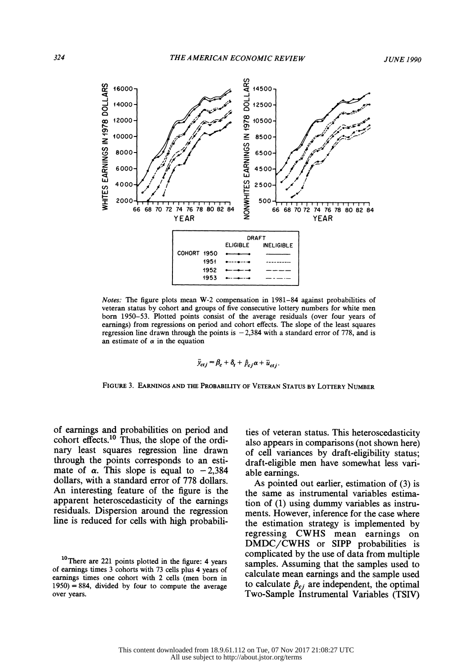

 Notes: The figure plots mean W-2 compensation in 1981-84 against probabilities of veteran status by cohort and groups of five consecutive lottery numbers for white men born 1950-53. Plotted points consist of the average residuals (over four years of earnings) from regressions on period and cohort effects. The slope of the least squares regression line drawn through the points is  $-2,384$  with a standard error of 778, and is an estimate of  $\alpha$  in the equation

$$
\bar{y}_{ctj} = \beta_c + \delta_t + \hat{p}_{cj} \alpha + \bar{u}_{ctj}.
$$

FIGURE 3. EARNINGS AND THE PROBABILITY OF VETERAN STATUS BY LOTTERY NUMBER

 of earnings and probabilities on period and cohort effects.<sup>10</sup> Thus, the slope of the ordi nary least squares regression line drawn through the points corresponds to an esti mate of  $\alpha$ . This slope is equal to  $-2,384$  dollars, with a standard error of 778 dollars. An interesting feature of the figure is the apparent heteroscedasticity of the earnings residuals. Dispersion around the regression line is reduced for cells with high probabili-

 ties of veteran status. This heteroscedasticity also appears in comparisons (not shown here) of cell variances by draft-eligibility status; draft-eligible men have somewhat less vari able earnings.

 As pointed out earlier, estimation of (3) is the same as instrumental variables estima tion of (1) using dummy variables as instru ments. However, inference for the case where the estimation strategy is implemented by regressing CWHS mean earnings on DMDC/CWHS or SIPP probabilities is complicated by the use of data from multiple samples. Assuming that the samples used to calculate mean earnings and the sample used to calculate  $\hat{p}_{cj}$  are independent, the optimal Two-Sample Instrumental Variables (TSIV)

<sup>&</sup>lt;sup>10</sup>There are 221 points plotted in the figure: 4 years of earnings times 3 cohorts with 73 cells plus 4 years of earnings times one cohort with 2 cells (men born in  $1950$ ) = 884, divided by four to compute the average over years.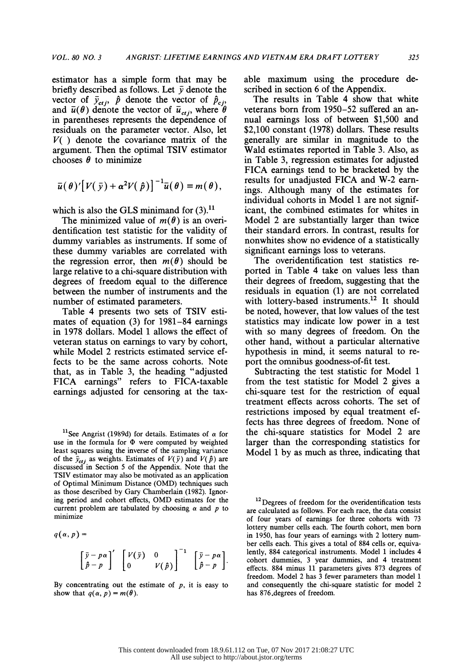estimator has a simple form that may be briefly described as follows. Let  $\bar{\nu}$  denote the vector of  $\bar{y}_{ct,i}$ ,  $\hat{p}$  denote the vector of and  $u(\theta)$  denote the vector of  $u_{ctj}$ , where  $\theta$  ve in parentheses represents the dependence of residuals on the parameter vector. Also, let  $V($ ) denote the covariance matrix of the argument. Then the optimal TSIV estimator chooses  $\theta$  to minimize

$$
\bar{u}(\theta)'\big[V(\bar{y})+\alpha^2V(\hat{p})\big]^{-1}\bar{u}(\theta)=m(\theta),
$$

which is also the GLS minimand for  $(3)$ .<sup>11</sup>

The minimized value of  $m(\theta)$  is an overi dentification test statistic for the validity of dummy variables as instruments. If some of these dummy variables are correlated with the regression error, then  $m(\theta)$  should be large relative to a chi-square distribution with degrees of freedom equal to the difference between the number of instruments and the number of estimated parameters.

 Table 4 presents two sets of TSIV esti mates of equation (3) for 1981-84 earnings in 1978 dollars. Model 1 allows the effect of veteran status on earnings to vary by cohort, while Model 2 restricts estimated service ef fects to be the same across cohorts. Note that, as in Table 3, the heading "adjusted FICA earnings" refers to FICA-taxable earnings adjusted for censoring at the tax-

<sup>11</sup>See Angrist (1989d) for details. Estimates of  $\alpha$  for use in the formula for  $\Phi$  were computed by weighted least squares using the inverse of the sampling variance of the  $\bar{y}_{ct}$  as weights. Estimates of  $V(\bar{y})$  and  $V(\hat{p})$  are discussed in Section 5 of the Appendix. Note that the TSIV estimator may also be motivated as an application of Optimal Minimum Distance (OMD) techniques such as those described by Gary Chamberlain (1982). Ignor ing period and cohort effects, OMD estimates for the current problem are tabulated by choosing  $\alpha$  and  $p$  to minimize

 $q(\alpha,p) =$  $\left[\bar{y} - p\alpha\right]'\left[\begin{array}{ccc}V(\bar{y}) & 0 & \end{array}\right]^{-1}\left[\begin{array}{ccc} \bar{y} - p\alpha\end{array}\right]$  $\left[\hat{p}-p\right]$   $\left[0\right]$   $V(\hat{p})$   $\left[\hat{p}-p\right]$ 

By concentrating out the estimate of  $p$ , it is easy to show that  $q(\alpha, p) = m(\theta)$ .

 able maximum using the procedure de scribed in section 6 of the Appendix.

The results in Table 4 show that white veterans born from 1950-52 suffered an an nual earnings loss of between \$1,500 and \$2,100 constant (1978) dollars. These results generally are similar in magnitude to the Wald estimates reported in Table 3. Also, as in Table 3, regression estimates for adjusted FICA earnings tend to be bracketed by the results for unadjusted FICA and W-2 earn ings. Although many of the estimates for individual cohorts in Model 1 are not signif icant, the combined estimates for whites in Model 2 are substantially larger than twice their standard errors. In contrast, results for nonwhites show no evidence of a statistically significant earnings loss to veterans.

 The overidentification test statistics re ported in Table 4 take on values less than their degrees of freedom, suggesting that the residuals in equation (1) are not correlated with lottery-based instruments.<sup>12</sup> It should be noted, however, that low values of the test statistics may indicate low power in a test with so many degrees of freedom. On the other hand, without a particular alternative hypothesis in mind, it seems natural to re port the omnibus goodness-of-fit test.

 Subtracting the test statistic for Model 1 from the test statistic for Model 2 gives a chi-square test for the restriction of equal treatment effects across cohorts. The set of restrictions imposed by equal treatment ef fects has three degrees of freedom. None of the chi-square statistics for Model 2 are larger than the corresponding statistics for Model 1 by as much as three, indicating that

<sup>12</sup>Degrees of freedom for the overidentification tests are calculated as follows. For each race, the data consist of four years of earnings for three cohorts with 73 lottery number cells each. The fourth cohort, men born in 1950, has four years of earnings with 2 lottery num ber cells each. This gives a total of 884 cells or, equiva lently, 884 categorical instruments. Model 1 includes 4 cohort dummies, 3 year dummies, and 4 treatment effects. 884 minus 11 parameters gives 873 degrees of freedom. Model 2 has 3 fewer parameters than model 1 and consequently the chi-square statistic for model 2 has 876.degrees of freedom.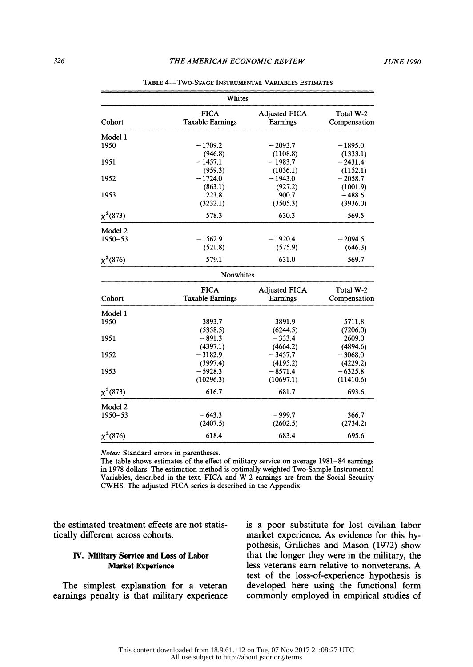|               | Whites                                 |                                  |                           |
|---------------|----------------------------------------|----------------------------------|---------------------------|
| Cohort        | <b>FICA</b><br><b>Taxable Earnings</b> | <b>Adjusted FICA</b><br>Earnings | Total W-2<br>Compensation |
| Model 1       |                                        |                                  |                           |
| 1950          | $-1709.2$                              | $-2093.7$                        | $-1895.0$                 |
|               | (946.8)                                | (1108.8)                         | (1333.1)                  |
| 1951          | $-1457.1$                              | $-1983.7$                        | $-2431.4$                 |
|               | (959.3)                                | (1036.1)                         | (1152.1)                  |
| 1952          | $-1724.0$                              | $-1943.0$                        | $-2058.7$                 |
|               | (863.1)                                | (927.2)                          | (1001.9)                  |
| 1953          | 1223.8                                 | 900.7                            | $-488.6$                  |
|               | (3232.1)                               | (3505.3)                         | (3936.0)                  |
| $\chi^2(873)$ | 578.3                                  | 630.3                            | 569.5                     |
| Model 2       |                                        |                                  |                           |
| 1950-53       | $-1562.9$                              | $-1920.4$                        | $-2094.5$                 |
|               | (521.8)                                | (575.9)                          | (646.3)                   |
| $\chi^2(876)$ | 579.1                                  | 631.0                            | 569.7                     |
|               | Nonwhites                              |                                  |                           |
|               | <b>FICA</b>                            | <b>Adjusted FICA</b>             | Total W-2                 |
| Cohort        | <b>Taxable Earnings</b>                | Earnings                         | Compensation              |
| Model 1       |                                        |                                  |                           |
| 1950          | 3893.7                                 | 3891.9                           | 5711.8                    |
|               | (5358.5)                               | (6244.5)                         | (7206.0)                  |
| 1951          | $-891.3$                               | $-333.4$                         | 2609.0                    |
|               | (4397.1)                               | (4664.2)                         | (4894.6)                  |
| 1952          | $-3182.9$                              | $-3457.7$                        | $-3068.0$                 |
|               | (3997.4)                               | (4195.2)                         | (4229.2)                  |
| 1953          | $-5928.3$                              | $-8571.4$                        | $-6325.8$                 |
|               | (10296.3)                              | (10697.1)                        | (11410.6)                 |
| $\chi^2(873)$ | 616.7                                  | 681.7                            | 693.6                     |
| Model 2       |                                        |                                  |                           |
| 1950-53       | $-643.3$                               | $-999.7$                         | 366.7                     |
|               | (2407.5)                               | (2602.5)                         | (2734.2)                  |
| $\chi^2(876)$ | 618.4                                  | 683.4                            | 695.6                     |
|               |                                        |                                  |                           |

TABLE 4-TWO-STAGE INSTRUMENTAL VARIABLES ESTIMATES

Notes: Standard errors in parentheses.

 The table shows estimates of the effect of military service on average 1981-84 earnings in 1978 dollars. The estimation method is optimally weighted Two-Sample Instrumental Variables, described in the text. FICA and W-2 earnings are from the Social Security CWHS. The adjusted FICA series is described in the Appendix.

 the estimated treatment effects are not statis tically different across cohorts.

# IV. Military Service and Loss of Labor Market Experience

 The simplest explanation for a veteran earnings penalty is that military experience  is a poor substitute for lost civilian labor market experience. As evidence for this hy pothesis, Griliches and Mason (1972) show that the longer they were in the military, the less veterans earn relative to nonveterans. A test of the loss-of-experience hypothesis is developed here using the functional form commonly employed in empirical studies of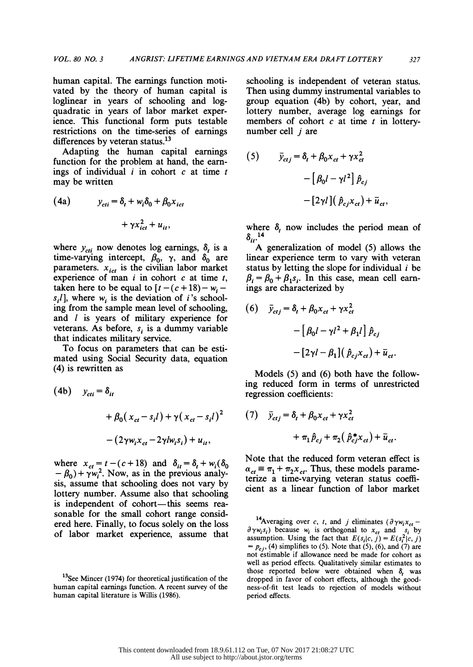human capital. The earnings function moti vated by the theory of human capital is loglinear in years of schooling and log quadratic in years of labor market exper ience. This functional form puts testable restrictions on the time-series of earnings differences by veteran status.<sup>13</sup>

 Adapting the human capital earnings function for the problem at hand, the earn ings of individual  $i$  in cohort  $c$  at time  $t$ may be written

(4a) 
$$
y_{cti} = \delta_t + w_i \delta_0 + \beta_0 x_{ict} + \gamma x_{ict}^2 + u_{it},
$$

where  $y_{\text{cri}}$  now denotes log earnings,  $\delta_t$  is a time-varying intercept,  $\beta_0$ ,  $\gamma$ , and  $\delta_0$  are parameters.  $x_{ict}$  is the civilian labor market experience of man  $i$  in cohort  $c$  at time  $t$ , taken here to be equal to  $[t - (c + 18) - w_i$  $s_i$ ], where  $w_i$  is the deviation of *i*'s school ing from the sample mean level of schooling, and *l* is years of military experience for veterans. As before,  $s_i$  is a dummy variable that indicates military service.

 To focus on parameters that can be esti mated using Social Security data, equation (4) is rewritten as

(4b) 
$$
y_{cti} = \delta_{it}
$$

$$
+ \beta_0 (x_{ct} - s_i l) + \gamma (x_{ct} - s_i l)^2
$$

$$
- (2\gamma w_i x_{ct} - 2\gamma l w_i s_i) + u_{it},
$$

where  $x_{ct} = t - (c + 18)$  and  $\delta_{it} = \delta_t + w_i(\delta_0)$  $-\beta_0$ ) +  $\gamma w_i^2$ . Now, as in the previous analy sis, assume that schooling does not vary by lottery number. Assume also that schooling is independent of cohort—this seems rea sonable for the small cohort range consid ered here. Finally, to focus solely on the loss of labor market experience, assume that  schooling is independent of veteran status. Then using dummy instrumental variables to group equation (4b) by cohort, year, and lottery number, average log earnings for members of cohort  $c$  at time  $t$  in lotterynumber cell  $i$  are

(5) 
$$
\bar{y}_{ctj} = \delta_t + \beta_0 x_{ct} + \gamma x_{ct}^2
$$

$$
- \left[ \beta_0 l - \gamma l^2 \right] \hat{p}_{cj}
$$

$$
- \left[ 2\gamma l \right] \left( \hat{p}_{cj} x_{ct} \right) + \bar{u}_{ct},
$$

where  $\delta_t$  now includes the period mean of 14<br>it

 A generalization of model (5) allows the linear experience term to vary with veteran status by letting the slope for individual  $i$  be  $\beta_i = \beta_0 + \beta_1 s_i$ . In this case, mean cell earnings are characterized by

(6) 
$$
\bar{y}_{ctj} = \delta_t + \beta_0 x_{ct} + \gamma x_{ct}^2
$$

$$
- \left[ \beta_0 l - \gamma l^2 + \beta_1 l \right] \hat{p}_{cj}
$$

$$
- \left[ 2\gamma l - \beta_1 \right] \left( \hat{p}_{cj} x_{ct} \right) + \bar{u}_{ct}.
$$

 Models (5) and (6) both have the follow ing reduced form in terms of unrestricted regression coefficients:

(7) 
$$
\bar{y}_{ctj} = \delta_t + \beta_0 x_{ct} + \gamma x_{ct}^2
$$

$$
+ \pi_1 \hat{p}_{cj} + \pi_2 (\hat{p}_{cj}^* x_{ct}) + \bar{u}_{ct}.
$$

 Note that the reduced form veteran effect is  $\alpha_{ct} \equiv \pi_1 + \pi_2 x_{ct}$ . Thus, these models parame terize a time-varying veteran status coeffi cient as a linear function of labor market

<sup>14</sup>Averaging over c, t, and j eliminates ( $\partial \gamma w_i x_{ct}$  –  $\partial \gamma w_i s_i$ ) because  $w_i$  is orthogonal to  $x_{ci}$  and  $s_i$  by assumption. Using the fact that  $E(s_i|c, j) = E(s_i^2|c, j)$  $= p_{cj}$ , (4) simplifies to (5). Note that (5), (6), and (7) are not estimable if allowance need be made for cohort as well as period effects. Qualitatively similar estimates to those reported below were obtained when  $\delta$ , was dropped in favor of cohort effects, although the good ness-of-fit test leads to rejection of models without period effects.

<sup>&</sup>lt;sup>13</sup>See Mincer (1974) for theoretical justification of the human capital earnings function. A recent survey of the human capital literature is Willis (1986).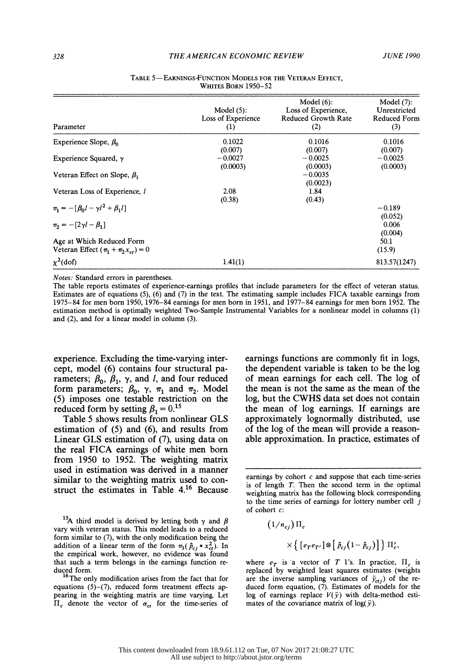| Parameter                                                                | Model $(5)$ :<br>Loss of Experience<br>$\left(1\right)$ | Model $(6)$ :<br>Loss of Experience,<br><b>Reduced Growth Rate</b><br>(2) | Model $(7)$ :<br>Unrestricted<br><b>Reduced Form</b><br>(3) |
|--------------------------------------------------------------------------|---------------------------------------------------------|---------------------------------------------------------------------------|-------------------------------------------------------------|
| Experience Slope, $\beta_0$                                              | 0.1022<br>(0.007)                                       | 0.1016<br>(0.007)                                                         | 0.1016<br>(0.007)                                           |
| Experience Squared, $\gamma$                                             | $-0.0027$<br>(0.0003)                                   | $-0.0025$<br>(0.0003)                                                     | $-0.0025$<br>(0.0003)                                       |
| Veteran Effect on Slope, $\beta_1$                                       |                                                         | $-0.0035$<br>(0.0023)                                                     |                                                             |
| Veteran Loss of Experience, l                                            | 2.08<br>(0.38)                                          | 1.84<br>(0.43)                                                            |                                                             |
| $\pi_1 = -[\beta_0 l - \gamma l^2 + \beta_1 l]$                          |                                                         |                                                                           | $-0.189$<br>(0.052)                                         |
| $\pi_2 = -[2\gamma l - \beta_1]$                                         |                                                         |                                                                           | 0.006<br>(0.004)                                            |
| Age at Which Reduced Form<br>Veteran Effect $(\pi_1 + \pi_2 x_{ct}) = 0$ |                                                         |                                                                           | 50.1<br>(15.9)                                              |
| $\chi^2$ (dof)                                                           | 1.41(1)                                                 |                                                                           | 813.57(1247)                                                |

#### TABLE 5-EARNINGS-FUNCTION MODELS FOR THE VETERAN EFFECT. WHITES BORN 1950-52

Notes: Standard errors in parentheses.

 The table reports estimates of experience-earnings profiles that include parameters for the effect of veteran status. Estimates are of equations (5), (6) and (7) in the text. The estimating sample includes FICA taxable earnings from 1975-84 for men born 1950, 1976-84 earnings for men born in 1951, and 1977-84 earnings for men born 1952. The estimation method is optimally weighted Two-Sample Instrumental Variables for a nonlinear model in columns (1) and (2), and for a linear model in column (3).

 experience. Excluding the time-varying inter cept, model (6) contains four structural pa rameters;  $\beta_0$ ,  $\beta_1$ ,  $\gamma$ , and *l*, and four reduced form parameters;  $\beta_0$ ,  $\gamma$ ,  $\pi_1$  and  $\pi_2$ . Model (5) imposes one testable restriction on the reduced form by setting  $\beta_1 = 0.15$ 

 Table 5 shows results from nonlinear GLS estimation of (5) and (6), and results from Linear GLS estimation of (7), using data on the real FICA earnings of white men born from 1950 to 1952. The weighting matrix used in estimation was derived in a manner similar to the weighting matrix used to con struct the estimates in Table 4.16 Because

<sup>15</sup>A third model is derived by letting both  $\gamma$  and  $\beta$  vary with veteran status. This model leads to a reduced form similar to (7), with the only modification being the addition of a linear term of the form  $\pi_3(\hat{p}_{c,i} * x_{ct}^2)$ . In the empirical work, however, no evidence was found that such a term belongs in the earnings function re duced form.

<sup>16</sup>The only modification arises from the fact that for equations  $(5)-(7)$ , reduced form treatment effects ap pearing in the weighting matrix are time varying. Let  $\Pi_c$  denote the vector of  $\alpha_{ct}$  for the time-series of

 earnings functions are commonly fit in logs, the dependent variable is taken to be the log of mean earnings for each cell. The log of the mean is not the same as the mean of the log, but the CWHS data set does not contain the mean of log earnings. If earnings are approximately lognormally distributed, use of the log of the mean will provide a reason able approximation. In practice, estimates of

$$
(1/n_{cj}) \Pi_c
$$
  
 
$$
\times \left\{ \left[ e_T e_{T'} \right] \otimes \left[ \hat{p}_{cj} \left( 1 - \hat{p}_{cj} \right) \right] \right\} \Pi_c',
$$

where  $e_T$  is a vector of T l's. In practice,  $\Pi_c$  is replaced by weighted least squares estimates (weights are the inverse sampling variances of  $\bar{y}_{ctj}$ ) of the re duced form equation, (7). Estimates of models for the log of earnings replace  $V(\bar{y})$  with delta-method estimates of the covariance matrix of log( $\bar{v}$ ).

earnings by cohort  $c$  and suppose that each time-series is of length T. Then the second term in the optimal weighting matrix has the following block corresponding to the time series of earnings for lottery number cell  $j$ of cohort c: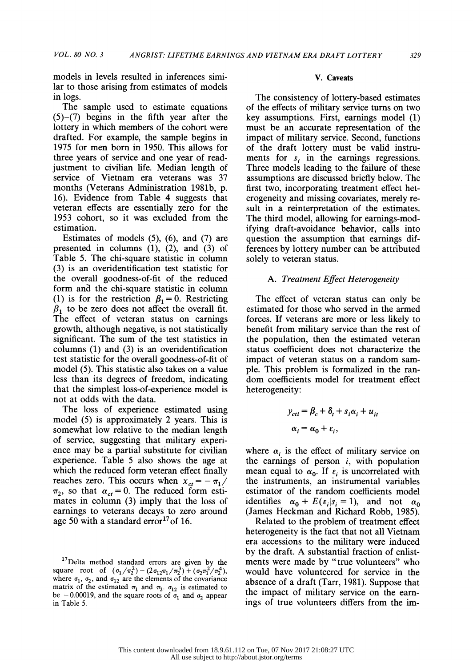models in levels resulted in inferences simi lar to those arising from estimates of models in logs.

 The sample used to estimate equations  $(5)-(7)$  begins in the fifth year after the lottery in which members of the cohort were drafted. For example, the sample begins in 1975 for men born in 1950. This allows for three years of service and one year of read justment to civilian life. Median length of service of Vietnam era veterans was 37 months (Veterans Administration 1981b, p. 16). Evidence from Table 4 suggests that veteran effects are essentially zero for the 1953 cohort, so it was excluded from the estimation.

 Estimates of models (5), (6), and (7) are presented in columns (1), (2), and (3) of Table 5. The chi-square statistic in column (3) is an overidentification test statistic for the overall goodness-of-fit of the reduced form and the chi-square statistic in column (1) is for the restriction  $\beta_1 = 0$ . Restricting  $\beta_1$  to be zero does not affect the overall fit. The effect of veteran status on earnings growth, although negative, is not statistically significant. The sum of the test statistics in columns (1) and (3) is an overidentification test statistic for the overall goodness-of-fit of model (5). This statistic also takes on a value less than its degrees of freedom, indicating that the simplest loss-of-experience model is not at odds with the data.

 The loss of experience estimated using model (5) is approximately 2 years. This is somewhat low relative to the median length of service, suggesting that military experi ence may be a partial substitute for civilian experience. Table 5 also shows the age at which the reduced form veteran effect finally reaches zero. This occurs when  $x_{ct} = -\pi_1/$  $\pi_2$ , so that  $\alpha_{ct} = 0$ . The reduced form esti mates in column (3) imply that the loss of earnings to veterans decays to zero around age 50 with a standard error<sup>17</sup> of 16.

<sup>17</sup> Delta method standard errors are given by the square root of  $(\sigma_1/\pi_2) - (2\sigma_{12}\pi_1/\pi_2^2) + (\sigma_2\pi_1^2/\pi_2^2)$ ,<br>where  $\sigma_1$ ,  $\sigma_2$ , and  $\sigma_{12}$  are the elements of the covariance matrix of the estimated  $\pi_1$  and  $\pi_2$ .  $\sigma_{12}$  is estimated to be -0.00019, and the square roots of  $\sigma_1$  and  $\sigma_2$  appear in Table 5.

#### V. Caveats

 The consistency of lottery-based estimates of the effects of military service turns on two key assumptions. First, earnings model (1) must be an accurate representation of the impact of military service. Second, functions of the draft lottery must be valid instru ments for s, in the earnings regressions. Three models leading to the failure of these assumptions are discussed briefly below. The first two, incorporating treatment effect het erogeneity and missing covariates, merely re sult in a reinterpretation of the estimates. The third model, allowing for earnings-mod ifying draft-avoidance behavior, calls into question the assumption that earnings dif ferences by lottery number can be attributed solely to veteran status.

# A. Treatment Effect Heterogeneity

 The effect of veteran status can only be estimated for those who served in the armed forces. If veterans are more or less likely to benefit from military service than the rest of the population, then the estimated veteran status coefficient does not characterize the impact of veteran status on a random sam ple. This problem is formalized in the ran dom coefficients model for treatment effect heterogeneity:

$$
y_{cti} = \beta_c + \delta_t + s_i \alpha_i + u_{it}
$$
  

$$
\alpha_i = \alpha_0 + \varepsilon_i,
$$

where  $\alpha_i$  is the effect of military service on the earnings of person  $i$ , with population mean equal to  $\alpha_0$ . If  $\varepsilon_i$  is uncorrelated with the instruments, an instrumental variables estimator of the random coefficients model identifies  $\alpha_0 + E(\epsilon_i | s_i = 1)$ , and not  $\alpha_0$ (James Heckman and Richard Robb, 1985).

 Related to the problem of treatment effect heterogeneity is the fact that not all Vietnam era accessions to the military were induced by the draft. A substantial fraction of enlist ments were made by "true volunteers" who would have volunteered for service in the absence of a draft (Tarr, 1981). Suppose that the impact of military service on the earn ings of true volunteers differs from the im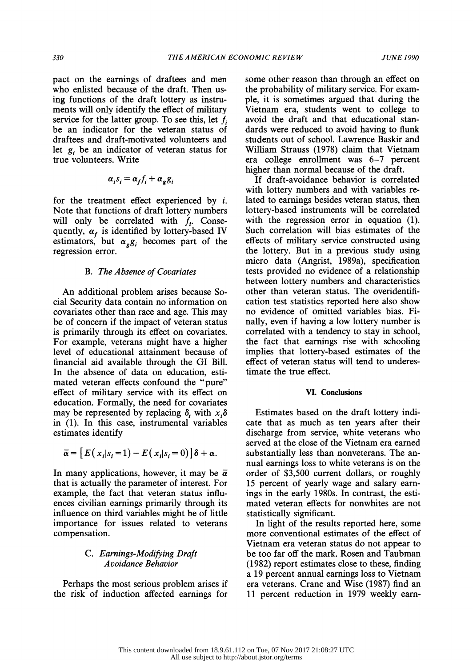pact on the earnings of draftees and men who enlisted because of the draft. Then us ing functions of the draft lottery as instru ments will only identify the effect of military service for the latter group. To see this, let  $f_i$  be an indicator for the veteran status of draftees and draft-motivated volunteers and let  $g_i$  be an indicator of veteran status for true volunteers. Write

$$
\alpha_i s_i = \alpha_f f_i + \alpha_g g_i
$$

for the treatment effect experienced by  $i$ . Note that functions of draft lottery numbers will only be correlated with  $f_i$ . Consequently,  $\alpha_f$  is identified by lottery-based IV estimators, but  $\alpha_{g}g_{i}$  becomes part of the regression error.

#### B. The Absence of Covariates

 An additional problem arises because So cial Security data contain no information on covariates other than race and age. This may be of concern if the impact of veteran status is primarily through its effect on covariates. For example, veterans might have a higher level of educational attainment because of financial aid available through the GI Bill. In the absence of data on education, esti mated veteran effects confound the "pure" effect of military service with its effect on education. Formally, the need for covariates may be represented by replacing  $\delta$ , with  $x_i\delta$  in (1). In this case, instrumental variables estimates identify

$$
\overline{\alpha} = [E(x_i|s_i=1) - E(x_i|s_i=0)]\delta + \alpha.
$$

In many applications, however, it may be  $\bar{\alpha}$  that is actually the parameter of interest. For example, the fact that veteran status influ ences civilian earnings primarily through its influence on third variables might be of little importance for issues related to veterans compensation.

## C. Earnings-Modifying Draft Avoidance Behavior

 Perhaps the most serious problem arises if the risk of induction affected earnings for  some other reason than through an effect on the probability of military service. For exam ple, it is sometimes argued that during the Vietnam era, students went to college to avoid the draft and that educational stan dards were reduced to avoid having to flunk students out of school. Lawrence Baskir and William Strauss (1978) claim that Vietnam era college enrollment was 6-7 percent higher than normal because of the draft.

 If draft-avoidance behavior is correlated with lottery numbers and with variables re lated to earnings besides veteran status, then lottery-based instruments will be correlated with the regression error in equation  $(1)$ . Such correlation will bias estimates of the effects of military service constructed using the lottery. But in a previous study using micro data (Angrist, 1989a), specification tests provided no evidence of a relationship between lottery numbers and characteristics other than veteran status. The overidentifi cation test statistics reported here also show no evidence of omitted variables bias. Fi nally, even if having a low lottery number is correlated with a tendency to stay in school, the fact that earnings rise with schooling implies that lottery-based estimates of the effect of veteran status will tend to underes timate the true effect.

### VI. Conclusions

 Estimates based on the draft lottery indi cate that as much as ten years after their discharge from service, white veterans who served at the close of the Vietnam era earned substantially less than nonveterans. The an nual earnings loss to white veterans is on the order of \$3,500 current dollars, or roughly 15 percent of yearly wage and salary earn ings in the early 1980s. In contrast, the esti mated veteran effects for nonwhites are not statistically significant.

 In light of the results reported here, some more conventional estimates of the effect of Vietnam era veteran status do not appear to be too far off the mark. Rosen and Taubman (1982) report estimates close to these, finding a 19 percent annual earnings loss to Vietnam era veterans. Crane and Wise (1987) find an 11 percent reduction in 1979 weekly earn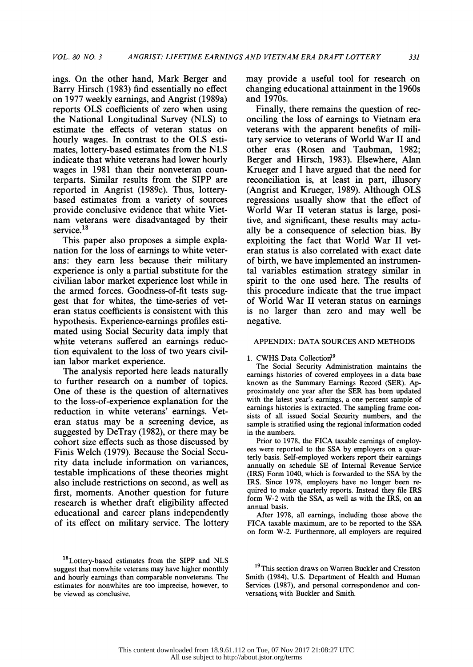ings. On the other hand, Mark Berger and Barry Hirsch (1983) find essentially no effect on 1977 weekly earnings, and Angrist (1989a) reports OLS coefficients of zero when using the National Longitudinal Survey (NLS) to estimate the effects of veteran status on hourly wages. In contrast to the OLS esti mates, lottery-based estimates from the NLS indicate that white veterans had lower hourly wages in 1981 than their nonveteran coun terparts. Similar results from the SIPP are reported in Angrist (1989c). Thus, lottery based estimates from a variety of sources provide conclusive evidence that white Viet nam veterans were disadvantaged by their service.<sup>18</sup>

 This paper also proposes a simple expla nation for the loss of earnings to white veter ans: they earn less because their military experience is only a partial substitute for the civilian labor market experience lost while in the armed forces. Goodness-of-fit tests sug gest that for whites, the time-series of vet eran status coefficients is consistent with this hypothesis. Experience-earnings profiles esti mated using Social Security data imply that white veterans suffered an earnings reduc tion equivalent to the loss of two years civil ian labor market experience.

 The analysis reported here leads naturally to further research on a number of topics. One of these is the question of alternatives to the loss-of-experience explanation for the reduction in white veterans' earnings. Vet eran status may be a screening device, as suggested by DeTray (1982), or there may be cohort size effects such as those discussed by Finis Welch (1979). Because the Social Secu rity data include information on variances, testable implications of these theories might also include restrictions on second, as well as first, moments. Another question for future research is whether draft eligibility affected educational and career plans independently of its effect on military service. The lottery

<sup>18</sup>Lottery-based estimates from the SIPP and NLS suggest that nonwhite veterans may have higher monthly and hourly earnings than comparable nonveterans. The estimates for nonwhites are too imprecise, however, to be viewed as conclusive.

 may provide a useful tool for research on changing educational attainment in the 1960s and 1970s.

 Finally, there remains the question of rec onciling the loss of earnings to Vietnam era veterans with the apparent benefits of mili tary service to veterans of World War II and other eras (Rosen and Taubman, 1982; Berger and Hirsch, 1983). Elsewhere, Alan Krueger and I have argued that the need for reconciliation is, at least in part, illusory (Angrist and Krueger, 1989). Although OLS regressions usually show that the effect of World War II veteran status is large, posi tive, and significant, these results may actu ally be a consequence of selection bias. By exploiting the fact that World War II vet eran status is also correlated with exact date of birth, we have implemented an instrumen tal variables estimation strategy similar in spirit to the one used here. The results of this procedure indicate that the true impact of World War II veteran status on earnings is no larger than zero and may well be negative.

# APPENDIX: DATA SOURCES AND METHODS

#### 1. CWHS Data Collection<sup>19</sup>

 The Social Security Administration maintains the earnings histories of covered employees in a data base known as the Summary Earnings Record (SER). Ap proximately one year after the SER has been updated with the latest year's earnings, a one percent sample of earnings histories is extracted. The sampling frame con sists of all issued Social Security numbers, and the sample is stratified using the regional information coded in the numbers.

 Prior to 1978, the FICA taxable earnings of employ ees were reported to the SSA by employers on a quar terly basis. Self-employed workers report their earnings annually on schedule SE of Internal Revenue Service (IRS) Form 1040, which is forwarded to the SSA by the IRS. Since 1978, employers have no longer been re quired to make quarterly reports. Instead they file IRS form W-2 with the SSA, as well as with the IRS, on an annual basis.

 After 1978, all earnings, including those above the FICA taxable maximum, are to be reported to the SSA on form W-2. Furthermore, all employers are required

<sup>19</sup>This section draws on Warren Buckler and Cresston Smith (1984), U.S. Department of Health and Human Services (1987), and personal correspondence and con versations with Buckler and Smith.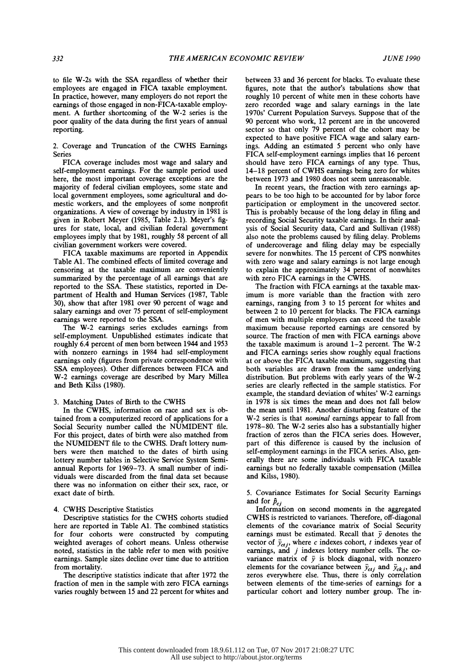to file W-2s with the SSA regardless of whether their employees are engaged in FICA taxable employment. In practice, however, many employers do not report the earnings of those engaged in non-FICA-taxable employ ment. A further shortcoming of the W-2 series is the poor quality of the data during the first years of annual reporting.

 2. Coverage and Truncation of the CWHS Earnings Series

 FICA coverage includes most wage and salary and self-employment earnings. For the sample period used here, the most important coverage exceptions are the majority of federal civilian employees, some state and local government employees, some agricultural and do mestic workers, and the employees of some nonprofit organizations. A view of coverage by industry in 1981 is given in Robert Meyer (1985, Table 2.1). Meyer's fig ures for state, local, and civilian federal government employees imply that by 1981, roughly 58 percent of all civilian government workers were covered.

 FICA taxable maximums are reported in Appendix Table Al. The combined effects of limited coverage and censoring at the taxable maximum are conveniently summarized by the percentage of all earnings that are reported to the SSA. These statistics, reported in De partment of Health and Human Services (1987, Table 30), show that after 1981 over 90 percent of wage and salary earnings and over 75 percent of self-employment earnings were reported to the SSA.

 The W-2 earnings series excludes earnings from self-employment. Unpublished estimates indicate that roughly 6.4 percent of men born between 1944 and 1953 with nonzero earnings in 1984 had self-employment earnings only (figures from private correspondence with SSA employees). Other differences between FICA and W-2 earnings coverage are described by Mary Millea and Beth Kilss (1980).

#### 3. Matching Dates of Birth to the CWHS

 In the CWHS, information on race and sex is ob tained from a computerized record of applications for a Social Security number called the NUMIDENT file. For this project, dates of birth were also matched from the NUMIDENT file to the CWHS. Draft lottery num bers were then matched to the dates of birth using lottery number tables in Selective Service System Semi annual Reports for 1969-73. A small number of indi viduals were discarded from the final data set because there was no information on either their sex, race, or exact date of birth.

#### 4. CWHS Descriptive Statistics

 Descriptive statistics for the CWHS cohorts studied here are reported in Table Al. The combined statistics for four cohorts were constructed by computing weighted averages of cohort means. Unless otherwise noted, statistics in the table refer to men with positive earnings. Sample sizes decline over time due to attrition from mortality.

 The descriptive statistics indicate that after 1972 the fraction of men in the sample with zero FICA earnings varies roughly between 15 and 22 percent for whites and

 between 33 and 36 percent for blacks. To evaluate these figures, note that the author's tabulations show that roughly 10 percent of white men in these cohorts have zero recorded wage and salary earnings in the late 1970s' Current Population Surveys. Suppose that of the 90 percent who work, 12 percent are in the uncovered sector so that only 79 percent of the cohort may be expected to have positive FICA wage and salary earn ings. Adding an estimated 5 percent who only have FICA self-employment earnings implies that 16 percent should have zero FICA earnings of any type. Thus, 14-18 percent of CWHS earnings being zero for whites between 1973 and 1980 does not seem unreasonable.

 In recent years, the fraction with zero earnings ap pears to be too high to be accounted for by labor force participation or employment in the uncovered sector. This is probably because of the long delay in filing and recording Social Security taxable earnings. In their anal ysis of Social Security data, Card and Sullivan (1988) also note the problems caused by filing delay. Problems of undercoverage and filing delay may be especially severe for nonwhites. The 15 percent of CPS nonwhites with zero wage and salary earnings is not large enough to explain the approximately 34 percent of nonwhites with zero FICA earnings in the CWHS.

 The fraction with FICA earnings at the taxable max imum is more variable than the fraction with zero earnings, ranging from 3 to 15 percent for whites and between 2 to 10 percent for blacks. The FICA earnings of men with multiple employers can exceed the taxable maximum because reported earnings are censored by source. The fraction of men with FICA earnings above the taxable maximum is around 1-2 percent. The W-2 and FICA earnings series show roughly equal fractions at or above the FICA taxable maximum, suggesting that both variables are drawn from the same underlying distribution. But problems with early years of the W-2 series are clearly reflected in the sample statistics. For example, the standard deviation of whites' W-2 earnings in 1978 is six times the mean and does not fall below the mean until 1981. Another disturbing feature of the W-2 series is that nominal earnings appear to fall from 1978-80. The W-2 series also has a substantially higher fraction of zeros than the FICA series does. However, part of this difference is caused by the inclusion of self-employment earnings in the FICA series. Also, gen erally there are some individuals with FICA taxable earnings but no federally taxable compensation (Millea and Kilss, 1980).

 5. Covariance Estimates for Social Security Earnings and for  $\hat{p}_{ci}$ 

 Information on second moments in the aggregated CWHS is restricted to variances. Therefore, off-diagonal elements of the covariance matrix of Social Security earnings must be estimated. Recall that  $\bar{y}$  denotes the vector of  $y_{ctj}$ , where c indexes cohort, t indexes year of earnings, and j indexes lottery number cells. The covariance matrix of  $\bar{y}$  is block diagonal, with nonzero elements for the covariance between  $\bar{y}_{ctj}$  and  $\bar{y}_{ckj}$ , and zeros everywhere else. Thus, there is only correlation between elements of the time-series of earnings for a particular cohort and lottery number group. The in-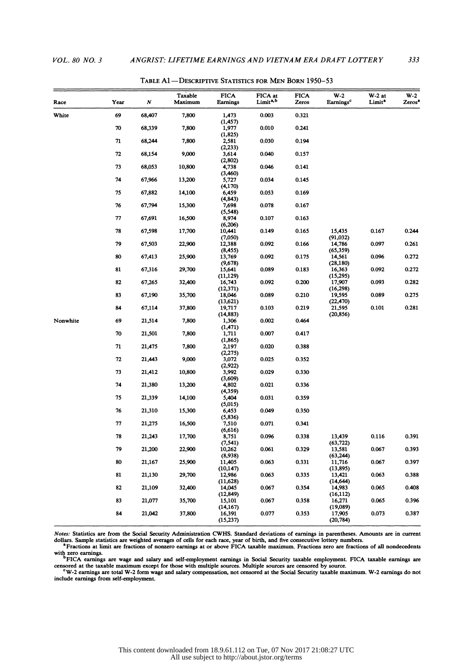| Race     | Year | N      | Taxable<br>Maximum | <b>FICA</b><br>Earnings | FICA at<br>Limit <sup>a, b</sup> | <b>FICA</b><br>Zeros | W-2<br>Earnings <sup>c</sup>               | $W-2$ at<br>Limit <sup>a</sup> | $W-2$<br>Zeros <sup>a</sup> |
|----------|------|--------|--------------------|-------------------------|----------------------------------|----------------------|--------------------------------------------|--------------------------------|-----------------------------|
| White    | 69   | 68,407 | 7,800              | 1,473<br>(1, 457)       | 0.003                            | 0.321                |                                            |                                |                             |
|          | 70   | 68,339 | 7,800              | 1,977<br>(1, 825)       | 0.010                            | 0.241                |                                            |                                |                             |
|          | 71   | 68,244 | 7,800              | 2,581<br>(2, 233)       | 0.030                            | 0.194                |                                            |                                |                             |
|          | 72   | 68,154 | 9,000              | 3,614<br>(2,802)        | 0.040                            | 0.157                |                                            |                                |                             |
|          | 73   | 68,053 | 10,800             | 4,738<br>(3,460)        | 0.046                            | 0.141                |                                            |                                |                             |
|          | 74   | 67,966 | 13,200             | 5,727<br>(4, 170)       | 0.034                            | 0.145                |                                            |                                |                             |
|          | 75   | 67,882 | 14,100             | 6,459<br>(4, 843)       | 0.053                            | 0.169                |                                            |                                |                             |
|          | 76   | 67,794 | 15,300             | 7,698<br>(5, 548)       | 0.078                            | 0.167                |                                            |                                |                             |
|          | 77   | 67,691 | 16,500             | 8,974<br>(6, 206)       | 0.107                            | 0.163                | 15,435<br>(91, 032)<br>14,786<br>(65, 359) |                                |                             |
|          | 78   | 67,598 | 17,700             | 10,441<br>(7,050)       | 0.149                            | 0.165                |                                            | 0.167                          | 0.244                       |
|          | 79   | 67,503 | 22,900             | 12,388<br>(8, 455)      | 0.092                            | 0.166                |                                            | 0.097                          | 0.261                       |
|          | 80   | 67,413 | 25,900             | 13,769<br>(9,678)       | 0.092                            | 0.175                | 14,561<br>(28, 180)                        | 0.096                          | 0.272                       |
|          | 81   | 67,316 | 29,700             | 15,641<br>(11, 129)     | 0.089                            | 0.183                | 16,363<br>(15, 295)                        | 0.092                          | 0.272                       |
|          | 82   | 67,265 | 32,400             | 16,743<br>(12, 371)     | 0.092                            | 0.200                | 17,907<br>(16, 298)                        | 0.093                          | 0.282                       |
|          | 83   | 67,190 | 35,700             | 18,046<br>(13,621)      | 0.089                            | 0.210                | 19,595<br>(22, 470)                        | 0.089                          | 0.275                       |
|          | 84   | 67,114 | 37,800             | 19,717<br>(14, 883)     | 0.103                            | 0.219                | 21,595<br>(20, 856)                        | 0.101                          | 0.281                       |
| Nonwhite | 69   | 21,514 | 7,800              | 1,306<br>(1, 471)       | 0.002                            | 0.464                |                                            |                                |                             |
|          | 70   | 21,501 | 7,800              | 1,711<br>(1, 865)       | 0.007                            | 0.417                |                                            |                                |                             |
|          | 71   | 21,475 | 7,800              | 2,197<br>(2,275)        | 0.020                            | 0.388                |                                            |                                |                             |
|          | 72   | 21,443 | 9,000              | 3,072<br>(2,922)        | 0.025                            | 0.352                |                                            |                                |                             |
|          | 73   | 21,412 | 10,800             | 3,992<br>(3,609)        | 0.029                            | 0.330                |                                            |                                |                             |
|          | 74   | 21,380 | 13,200             | 4,802<br>(4, 359)       | 0.021                            | 0.336                |                                            |                                |                             |
|          | 75   | 21,339 | 14,100             | 5,404<br>(5,015)        | 0.031                            | 0.359                |                                            |                                |                             |
|          | 76   | 21,310 | 15,300             | 6,453<br>(5, 836)       | 0.049                            | 0.350                |                                            |                                |                             |
|          | 77   | 21,275 | 16,500             | 7,510<br>(6,616)        | 0.071                            | 0.341                |                                            |                                |                             |
|          | 78   | 21,243 | 17,700             | 8,751<br>(7, 541)       | 0.096                            | 0.338                | 13,439<br>(63, 722)                        | 0.116                          | 0.391                       |
|          | 79   | 21,200 | 22,900             | 10,262<br>(8,938)       | 0.061                            | 0.329                | 13,581<br>(63, 244)                        | 0.067                          | 0.393                       |
|          | 80   | 21,167 | 25,900             | 11,405<br>(10, 147)     | 0.063                            | 0.331                | 11,716<br>(13, 895)                        | 0.067                          | 0.397                       |
|          | 81   | 21,130 | 29,700             | 12,986<br>(11, 628)     | 0.063                            | 0.335                | 13,421<br>(14, 644)                        | 0.063                          | 0.388                       |
|          | 82   | 21,109 | 32,400             | 14,045<br>(12, 849)     | 0.067                            | 0.354                | 14,983<br>(16, 112)                        | 0.065                          | 0.408                       |
|          | 83   | 21,077 | 35,700             | 15,101<br>(14, 167)     | 0.067                            | 0.358                | 16,271<br>(19,089)                         | 0.065                          | 0.396                       |
|          | 84   | 21,042 | 37,800             | 16,391<br>(15, 237)     | 0.077                            | 0.353                | 17,905<br>(20, 784)                        | 0.073                          | 0.387                       |

TABLE Al-DESCRIPTIVE STATISTICS FOR MEN BORN 1950-53

 Notes: Statistics are from the Social Security Adminiatration CWHS. Standard deviations of earings in parentheses. Amounts are in current Notes: Statistics are from the Social Security Administration CWHS. Standard deviations of earnings in parentheses. Amounts are in current<br><sup>4</sup> Fractions at limit are weighted averages of cells for each race, year of birth,

<sup>4</sup> Fractions at limit are fractions of nonzero earnings at or above FICA taxable maximum. Fractions zero are fractions of all nondecedents with zero earnings.<br><sup>4</sup> FICA earnings are wage and salary and self-employment earn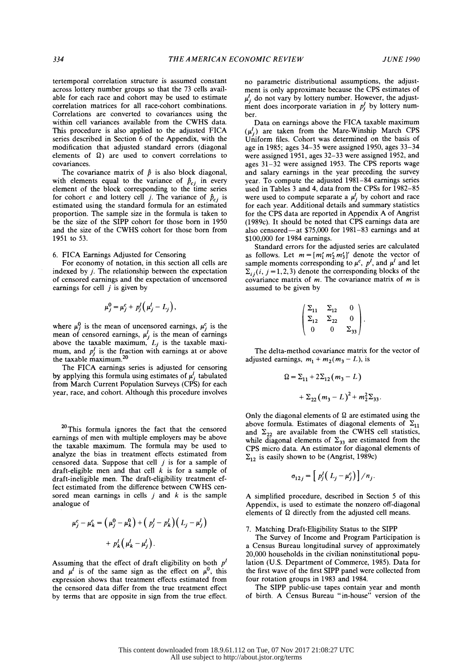tertemporal correlation structure is assumed constant across lottery number groups so that the 73 cells avail able for each race and cohort may be used to estimate correlation matrices for all race-cohort combinations. Correlations are converted to covariances using the within cell variances available from the CWHS data. This procedure is also applied to the adjusted FICA series described in Section 6 of the Appendix, with the modification that adjusted standard errors (diagonal elements of  $\Omega$ ) are used to convert correlations to covariances.

The covariance matrix of  $\hat{p}$  is also block diagonal, with elements equal to the variance of  $\hat{p}_{cj}$  in every year. I element of the block corresponding to the time series used is for cohort c and lottery cell j. The variance of  $\hat{p}_{c,i}$  is estimated using the standard formula for an estimated proportion. The sample size in the formula is taken to be the size of the SIPP cohort for those born in 1950 and the size of the CWHS cohort for those born from 1951 to 53.

#### 6. FICA Earnings Adjusted for Censoring

 For economy of notation, in this section all cells are indexed by j. The relationship between the expectation of censored earnings and the expectation of uncensored earnings for cell  $j$  is given by

$$
\mu_j^0 = \mu_j^c + p_j^l \left( \mu_j^l - L_j \right),
$$

where  $\mu_i^0$  is the mean of uncensored earnings,  $\mu_i^c$  is the mean of censored earnings,  $\mu_j$  is the mean of earnings above the taxable maximum,  $L_j$  is the taxable maximum, and  $p_i$  is the fraction with earnings at or above the taxable maximum.20

 The FICA earnings series is adjusted for censoring by applying this formula using estimates of  $\mu'$ , tabulated from March Current Population Surveys (CPS) for each year, race, and cohort. Although this procedure involves

<sup>20</sup>This formula ignores the fact that the censored earnings of men with multiple employers may be above the taxable maximum. The formula may be used to analyze the bias in treatment effects estimated from censored data. Suppose that cell  $j$  is for a sample of draft-eligible men and that cell  $\vec{k}$  is for a sample of draft-ineligible men. The draft-eligibility treatment ef fect estimated from the difference between CWHS cen sored mean earnings in cells  $j$  and  $k$  is the sample analogue of

$$
\mu_j^c - \mu_k^c = \left(\mu_j^0 - \mu_k^0\right) + \left(p_j^t - p_k^t\right)\left(L_j - \mu_j^t\right) + p_k^t\left(\mu_k^t - \mu_j^t\right).
$$

Assuming that the effect of draft eligibility on both  $p<sup>l</sup>$ and  $\mu^l$  is of the same sign as the effect on  $\mu^0$ , this expression shows that treatment effects estimated from the censored data differ from the true treatment effect by terms that are opposite in sign from the true effect.  no parametric distributional assumptions, the adjust ment is only approximate because the CPS estimates of  $\mu'_i$  do not vary by lottery number. However, the adjust- $\mu_j$  do not vary by lottery number. However, the adjust-<br>ment does incorporate variation in  $p'_i$  by lottery number.

 Data on earnings above the FICA taxable maximum  $(\mu_i^l)$  are taken from the Mare-Winship March CPS Uniform files. Cohort was determined on the basis of age in 1985; ages 34-35 were assigned 1950, ages 33-34 were assigned 1951, ages 32-33 were assigned 1952, and ages 31-32 were assigned 1953. The CPS reports wage and salary earnings in the year preceding the survey year. To compute the adjusted 1981-84 earnings series used in Tables 3 and 4, data from the CPSs for 1982-85 were used to compute separate a  $\mu_i^l$  by cohort and race for each year. Additional details and summary statistics for the CPS data are reported in Appendix A of Angrist (1989c). It should be noted that CPS earnings data are also censored-at \$75,000 for 1981-83 earnings and at \$100,000 for 1984 earnings.

 Standard errors for the adjusted series are calculated as follows. Let  $m = [m'_1 m'_2 m'_3]'$  denote the vector of sample moments corresponding to  $\mu^c$ ,  $p^l$ , and  $\mu^l$  and let  $\Sigma_{ij}$  (*i*, *j* = 1, 2, 3) denote the corresponding blocks of the covariance matrix of  $m$ . The covariance matrix of  $m$  is assumed to be given by

$$
\begin{pmatrix} \Sigma_{11} & \Sigma_{12} & 0 \\ \Sigma_{12} & \Sigma_{22} & 0 \\ 0 & 0 & \Sigma_{33} \end{pmatrix}.
$$

 The delta-method covariance matrix for the vector of adjusted earnings,  $m_1 + m_2(m_3 - L)$ , is

$$
\Omega = \Sigma_{11} + 2\Sigma_{12}(m_3 - L)
$$
  
+  $\Sigma_{22}(m_3 - L)^2 + m_2^2\Sigma_{33}$ .

Only the diagonal elements of  $\Omega$  are estimated using the above formula. Estimates of diagonal elements of  $\Sigma_{11}$ and  $\Sigma_{22}$  are available from the CWHS cell statistics, while diagonal elements of  $\Sigma_{33}$  are estimated from the CPS micro data. An estimator for diagonal elements of  $\Sigma_{12}$  is easily shown to be (Angrist, 1989c)

$$
\sigma_{12j} = \left[ p_j^l (L_j - \mu_j^c) \right] / n_j.
$$

 A simplified procedure, described in Section 5 of this Appendix, is used to estimate the nonzero off-diagonal elements of  $\Omega$  directly from the adjusted cell means.

#### 7. Matching Draft-Eligibility Status to the SIPP

 The Survey of Income and Program Participation is a Census Bureau longitudinal survey of approximately 20,000 households in the civilian noninstitutional popu lation (U.S. Department of Commerce, 1985). Data for the first wave of the first SIPP panel were collected from four rotation groups in 1983 and 1984.

 The SIPP public-use tapes contain year and month of birth. A Census Bureau "in-house" version of the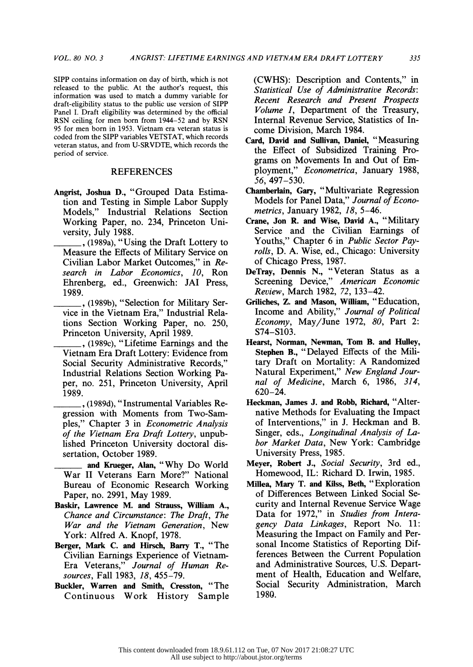SIPP contains information on day of birth, which is not released to the public. At the author's request, this information was used to match a dummy variable for draft-eligibility status to the public use version of SIPP Panel I. Draft eligibility was determined by the official RSN ceiling for men born from 1944-52 and by RSN 95 for men born in 1953. Vietnam era veteran status is coded from the SIPP variables VETSTAT, which records veteran status, and from U-SRVDTE, which records the

#### REFERENCES

period of service.

- Angrist, Joshua D., "Grouped Data Estima tion and Testing in Simple Labor Supply Models," Industrial Relations Section Working Paper, no. 234, Princeton Uni versity, July 1988.
	- , (1989a), "Using the Draft Lottery to Measure the Effects of Military Service on Civilian Labor Market Outcomes," in Re search in Labor Economics, 10, Ron Ehrenberg, ed., Greenwich: JAI Press, 1989.
	- , (1989b), "Selection for Military Ser vice in the Vietnam Era," Industrial Rela tions Section Working Paper, no. 250, Princeton University, April 1989.
	- , (1989c), "Lifetime Earnings and the Vietnam Era Draft Lottery: Evidence from Social Security Administrative Records," Industrial Relations Section Working Pa per, no. 251, Princeton University, April 1989.
	- , (1989d), "Instrumental Variables Re gression with Moments from Two-Sam ples," Chapter 3 in Econometric Analysis of the Vietnam Era Draft Lottery, unpub lished Princeton University doctoral dis sertation, October 1989.
	- and Krueger, Alan, "Why Do World War II Veterans Earn More?" National Bureau of Economic Research Working Paper, no. 2991, May 1989.
- Baskir, Lawrence M. and Strauss, William A., Chance and Circumstance: The Draft, The War and the Vietnam Generation, New York: Alfred A. Knopf, 1978.
- Berger, Mark C. and Hirsch, Barry T., "The Civilian Earnings Experience of Vietnam- Era Veterans," Journal of Human Re sources, Fall 1983, 18, 455-79.
- Buckler, Warren and Smith, Cresston, "The Continuous Work History Sample

 (CWHS): Description and Contents," in Statistical Use of Administrative Records: Recent Research and Present Prospects Volume I, Department of the Treasury, Internal Revenue Service, Statistics of In come Division, March 1984.

- Card, David and Sullivan, Daniel, "Measuring the Effect of Subsidized Training Pro grams on Movements In and Out of Em ployment," Econometrica, January 1988, 56, 497-530.
- Chamberlain, Gary, "Multivariate Regression Models for Panel Data," Journal of Econo metrics, January 1982, 18, 5-46.
- Crane, Jon R. and Wise, David A., "Military Service and the Civilian Earnings of Youths," Chapter 6 in Public Sector Pay rolls, D. A. Wise, ed., Chicago: University of Chicago Press, 1987.
- DeTray, Dennis N., "Veteran Status as a Screening Device," American Economic Review, March 1982, 72, 133-42.
- Griliches, Z. and Mason, William, "Education, Income and Ability," Journal of Political Economy, May/June 1972, 80, Part 2: S74-S103.
- Hearst, Norman, Newman, Tom B. and Hulley, Stephen B., "Delayed Effects of the Mil tary Draft on Mortality: A Randomized Natural Experiment," New England Jour nal of Medicine, March 6, 1986, 314, 620-24.
- Heckman, James J. and Robb, Richard, "Alter native Methods for Evaluating the Impact of Interventions," in J. Heckman and B. Singer, eds., Longitudinal Analysis of La bor Market Data, New York: Cambridge University Press, 1985.
- Meyer, Robert J., Social Security, 3rd ed., Homewood, IL: Richard D. Irwin, 1985.
- Millea, Mary T. and Kilss, Beth, "Exploration of Differences Between Linked Social Se curity and Internal Revenue Service Wage Data for 1972," in Studies from Intera gency Data Linkages, Report No. 11: Measuring the Impact on Family and Per sonal Income Statistics of Reporting Dif ferences Between the Current Population and Administrative Sources, U.S. Depart ment of Health, Education and Welfare, Social Security Administration, March 1980.